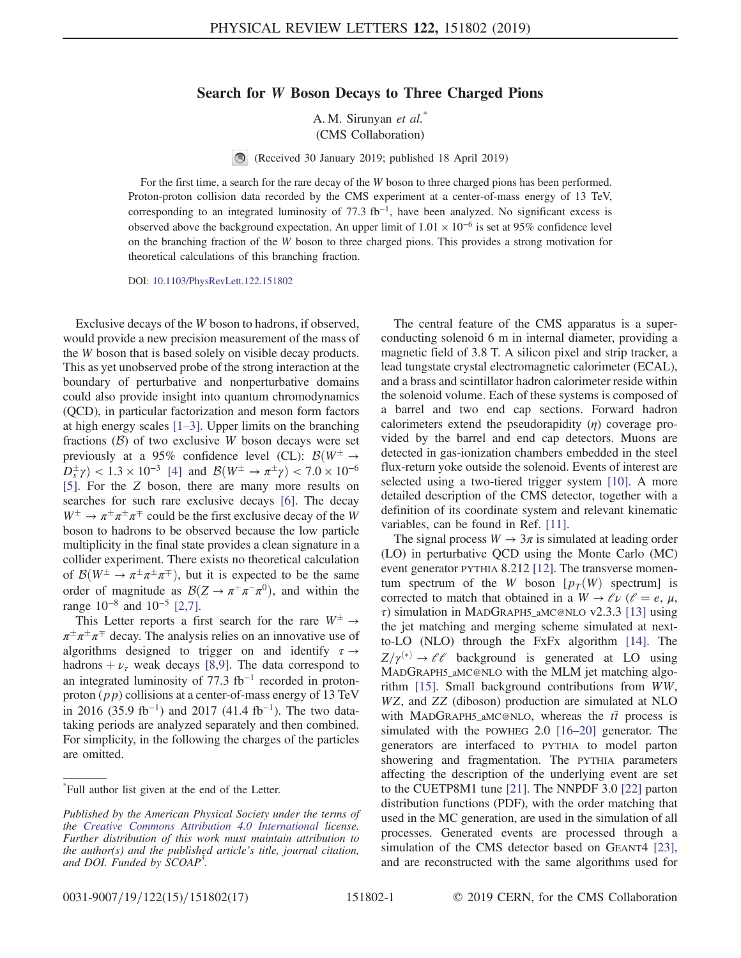## Search for W Boson Decays to Three Charged Pions

A. M. Sirunyan et al.\* (CMS Collaboration)

 $\bigcirc$ (Received 30 January 2019; published 18 April 2019)

For the first time, a search for the rare decay of the W boson to three charged pions has been performed. Proton-proton collision data recorded by the CMS experiment at a center-of-mass energy of 13 TeV, corresponding to an integrated luminosity of 77.3 fb<sup>-1</sup>, have been analyzed. No significant excess is observed above the background expectation. An upper limit of  $1.01 \times 10^{-6}$  is set at 95% confidence level on the branching fraction of the W boson to three charged pions. This provides a strong motivation for theoretical calculations of this branching fraction.

DOI: [10.1103/PhysRevLett.122.151802](https://doi.org/10.1103/PhysRevLett.122.151802)

Exclusive decays of the W boson to hadrons, if observed, would provide a new precision measurement of the mass of the W boson that is based solely on visible decay products. This as yet unobserved probe of the strong interaction at the boundary of perturbative and nonperturbative domains could also provide insight into quantum chromodynamics (QCD), in particular factorization and meson form factors at high energy scales [\[1](#page-3-0)–3]. Upper limits on the branching fractions  $(B)$  of two exclusive W boson decays were set previously at a 95% confidence level (CL):  $\mathcal{B}(W^{\pm})$  $D_s^{\pm} \gamma$  < 1.3 × 10<sup>-3</sup> [\[4\]](#page-4-0) and  $\mathcal{B}(W^{\pm} \to \pi^{\pm} \gamma)$  < 7.0 × 10<sup>-6</sup> [\[5\]](#page-4-1). For the Z boson, there are many more results on searches for such rare exclusive decays [\[6\].](#page-4-2) The decay  $W^{\pm} \rightarrow \pi^{\pm} \pi^{\pm} \pi^{\mp}$  could be the first exclusive decay of the W boson to hadrons to be observed because the low particle multiplicity in the final state provides a clean signature in a collider experiment. There exists no theoretical calculation of  $\mathcal{B}(W^{\pm} \to \pi^{\pm} \pi^{\pm} \pi^{\mp})$ , but it is expected to be the same order of magnitude as  $\mathcal{B}(Z \to \pi^+\pi^-\pi^0)$ , and within the range 10<sup>−</sup><sup>8</sup> and 10<sup>−</sup><sup>5</sup> [\[2,7\].](#page-3-1)

This Letter reports a first search for the rare  $W^{\pm} \rightarrow$  $\pi^{\pm} \pi^{\pm} \pi^{\mp}$  decay. The analysis relies on an innovative use of algorithms designed to trigger on and identify  $\tau \rightarrow$ hadrons  $+\nu_{\tau}$  weak decays [\[8,9\]](#page-4-3). The data correspond to an integrated luminosity of  $77.3$  fb<sup>-1</sup> recorded in protonproton  $(pp)$  collisions at a center-of-mass energy of 13 TeV in 2016 (35.9 fb<sup>-1</sup>) and 2017 (41.4 fb<sup>-1</sup>). The two datataking periods are analyzed separately and then combined. For simplicity, in the following the charges of the particles are omitted.

The central feature of the CMS apparatus is a superconducting solenoid 6 m in internal diameter, providing a magnetic field of 3.8 T. A silicon pixel and strip tracker, a lead tungstate crystal electromagnetic calorimeter (ECAL), and a brass and scintillator hadron calorimeter reside within the solenoid volume. Each of these systems is composed of a barrel and two end cap sections. Forward hadron calorimeters extend the pseudorapidity  $(\eta)$  coverage provided by the barrel and end cap detectors. Muons are detected in gas-ionization chambers embedded in the steel flux-return yoke outside the solenoid. Events of interest are selected using a two-tiered trigger system [\[10\]](#page-4-4). A more detailed description of the CMS detector, together with a definition of its coordinate system and relevant kinematic variables, can be found in Ref. [\[11\]](#page-4-5).

The signal process  $W \to 3\pi$  is simulated at leading order (LO) in perturbative QCD using the Monte Carlo (MC) event generator PYTHIA 8.212 [\[12\]](#page-4-6). The transverse momentum spectrum of the W boson  $[p_T(W)$  spectrum] is corrected to match that obtained in a  $W \rightarrow \ell \nu$  ( $\ell = e, \mu$ , τ) simulation in MADGRAPH5\_aMC@NLO v2.3.3 [\[13\]](#page-4-7) using the jet matching and merging scheme simulated at nextto-LO (NLO) through the FxFx algorithm [\[14\]](#page-4-8). The  $Z/\gamma^{(*)} \rightarrow \ell \ell$  background is generated at LO using MADGRAPH5\_aMC@NLO with the MLM jet matching algorithm [\[15\]](#page-4-9). Small background contributions from WW, WZ, and ZZ (diboson) production are simulated at NLO with MADGRAPH5\_aMC@NLO, whereas the  $t\bar{t}$  process is simulated with the POWHEG 2.0 [16–[20\]](#page-4-10) generator. The generators are interfaced to PYTHIA to model parton showering and fragmentation. The PYTHIA parameters affecting the description of the underlying event are set to the CUETP8M1 tune [\[21\]](#page-4-11). The NNPDF 3.0 [\[22\]](#page-4-12) parton distribution functions (PDF), with the order matching that used in the MC generation, are used in the simulation of all processes. Generated events are processed through a simulation of the CMS detector based on GEANT4 [\[23\]](#page-4-13), and are reconstructed with the same algorithms used for

<sup>\*</sup> Full author list given at the end of the Letter.

Published by the American Physical Society under the terms of the [Creative Commons Attribution 4.0 International](https://creativecommons.org/licenses/by/4.0/) license. Further distribution of this work must maintain attribution to the author(s) and the published article's title, journal citation, and DOI. Funded by SCOAP<sup>3</sup>.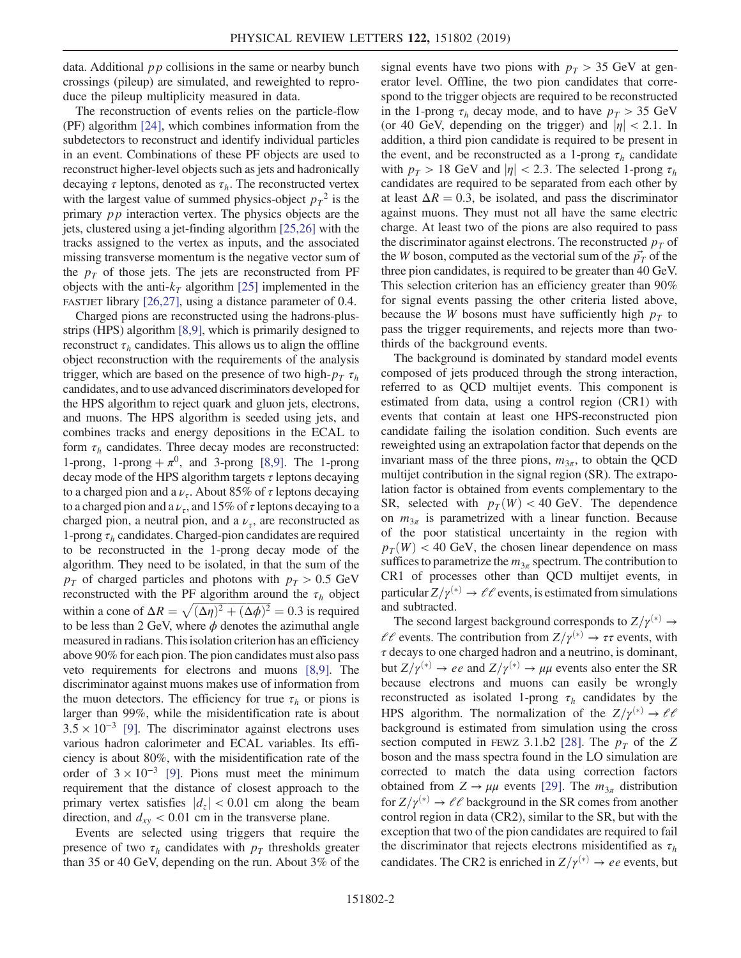data. Additional  $pp$  collisions in the same or nearby bunch crossings (pileup) are simulated, and reweighted to reproduce the pileup multiplicity measured in data.

The reconstruction of events relies on the particle-flow (PF) algorithm [\[24\]](#page-4-14), which combines information from the subdetectors to reconstruct and identify individual particles in an event. Combinations of these PF objects are used to reconstruct higher-level objects such as jets and hadronically decaying  $\tau$  leptons, denoted as  $\tau_h$ . The reconstructed vertex with the largest value of summed physics-object  $p_T^2$  is the primary pp interaction vertex. The physics objects are the jets, clustered using a jet-finding algorithm [\[25,26\]](#page-4-15) with the tracks assigned to the vertex as inputs, and the associated missing transverse momentum is the negative vector sum of the  $p_T$  of those jets. The jets are reconstructed from PF objects with the anti- $k<sub>T</sub>$  algorithm [\[25\]](#page-4-15) implemented in the FASTJET library [\[26,27\]](#page-4-16), using a distance parameter of 0.4.

Charged pions are reconstructed using the hadrons-plusstrips (HPS) algorithm [\[8,9\],](#page-4-3) which is primarily designed to reconstruct  $\tau_h$  candidates. This allows us to align the offline object reconstruction with the requirements of the analysis trigger, which are based on the presence of two high- $p_T \tau_h$ candidates, and to use advanced discriminators developed for the HPS algorithm to reject quark and gluon jets, electrons, and muons. The HPS algorithm is seeded using jets, and combines tracks and energy depositions in the ECAL to form  $\tau_h$  candidates. Three decay modes are reconstructed: 1-prong, 1-prong  $+\pi^0$ , and 3-prong [\[8,9\].](#page-4-3) The 1-prong decay mode of the HPS algorithm targets  $\tau$  leptons decaying to a charged pion and a  $\nu_{\tau}$ . About 85% of  $\tau$  leptons decaying to a charged pion and a  $\nu_{\tau}$ , and 15% of  $\tau$  leptons decaying to a charged pion, a neutral pion, and a  $\nu_{\tau}$ , are reconstructed as 1-prong  $\tau_h$  candidates. Charged-pion candidates are required to be reconstructed in the 1-prong decay mode of the algorithm. They need to be isolated, in that the sum of the  $p_T$  of charged particles and photons with  $p_T > 0.5$  GeV reconstructed with the PF algorithm around the  $\tau_h$  object reconstructed with the PF algorithm around the  $\tau_h$  object<br>within a cone of  $\Delta R = \sqrt{(\Delta \eta)^2 + (\Delta \phi)^2} = 0.3$  is required to be less than 2 GeV, where  $\phi$  denotes the azimuthal angle measured in radians. This isolation criterion has an efficiency above 90% for each pion. The pion candidates must also pass veto requirements for electrons and muons [\[8,9\]](#page-4-3). The discriminator against muons makes use of information from the muon detectors. The efficiency for true  $\tau_h$  or pions is larger than 99%, while the misidentification rate is about  $3.5 \times 10^{-3}$  [\[9\].](#page-4-17) The discriminator against electrons uses various hadron calorimeter and ECAL variables. Its efficiency is about 80%, with the misidentification rate of the order of  $3 \times 10^{-3}$  [\[9\].](#page-4-17) Pions must meet the minimum requirement that the distance of closest approach to the primary vertex satisfies  $|d_z| < 0.01$  cm along the beam direction, and  $d_{xy}$  < 0.01 cm in the transverse plane.

Events are selected using triggers that require the presence of two  $\tau_h$  candidates with  $p_T$  thresholds greater than 35 or 40 GeV, depending on the run. About 3% of the signal events have two pions with  $p_T > 35$  GeV at generator level. Offline, the two pion candidates that correspond to the trigger objects are required to be reconstructed in the 1-prong  $\tau_h$  decay mode, and to have  $p_T > 35$  GeV (or 40 GeV, depending on the trigger) and  $|\eta| < 2.1$ . In addition, a third pion candidate is required to be present in the event, and be reconstructed as a 1-prong  $\tau_h$  candidate with  $p_T > 18$  GeV and  $|\eta| < 2.3$ . The selected 1-prong  $\tau_h$ candidates are required to be separated from each other by at least  $\Delta R = 0.3$ , be isolated, and pass the discriminator against muons. They must not all have the same electric charge. At least two of the pions are also required to pass the discriminator against electrons. The reconstructed  $p<sub>T</sub>$  of the W boson, computed as the vectorial sum of the  $\vec{p}_T$  of the three pion candidates, is required to be greater than 40 GeV. This selection criterion has an efficiency greater than 90% for signal events passing the other criteria listed above, because the W bosons must have sufficiently high  $p<sub>T</sub>$  to pass the trigger requirements, and rejects more than twothirds of the background events.

The background is dominated by standard model events composed of jets produced through the strong interaction, referred to as QCD multijet events. This component is estimated from data, using a control region (CR1) with events that contain at least one HPS-reconstructed pion candidate failing the isolation condition. Such events are reweighted using an extrapolation factor that depends on the invariant mass of the three pions,  $m_{3\pi}$ , to obtain the QCD multijet contribution in the signal region (SR). The extrapolation factor is obtained from events complementary to the SR, selected with  $p_T(W) < 40$  GeV. The dependence on  $m_{3\pi}$  is parametrized with a linear function. Because of the poor statistical uncertainty in the region with  $p_T(W)$  < 40 GeV, the chosen linear dependence on mass suffices to parametrize the  $m_{3\pi}$  spectrum. The contribution to CR1 of processes other than QCD multijet events, in particular  $Z/\gamma^{(*)} \to \ell \ell$  events, is estimated from simulations and subtracted.

The second largest background corresponds to  $Z/\gamma^{(*)} \rightarrow$  $\ell \ell$  events. The contribution from  $Z/\gamma^{(*)} \to \tau \tau$  events, with  $\tau$  decays to one charged hadron and a neutrino, is dominant, but  $Z/\gamma^{(*)} \rightarrow ee$  and  $Z/\gamma^{(*)} \rightarrow \mu\mu$  events also enter the SR because electrons and muons can easily be wrongly reconstructed as isolated 1-prong  $\tau_h$  candidates by the HPS algorithm. The normalization of the  $Z/\gamma^{(*)} \rightarrow \ell \ell$ background is estimated from simulation using the cross section computed in FEWZ 3.1.b2 [\[28\].](#page-4-18) The  $p<sub>T</sub>$  of the Z boson and the mass spectra found in the LO simulation are corrected to match the data using correction factors obtained from  $Z \rightarrow \mu\mu$  events [\[29\]](#page-4-19). The  $m_{3\pi}$  distribution for  $Z/\gamma^{(*)} \rightarrow \ell \ell$  background in the SR comes from another control region in data (CR2), similar to the SR, but with the exception that two of the pion candidates are required to fail the discriminator that rejects electrons misidentified as  $\tau_h$ candidates. The CR2 is enriched in  $Z/\gamma^{(*)} \rightarrow ee$  events, but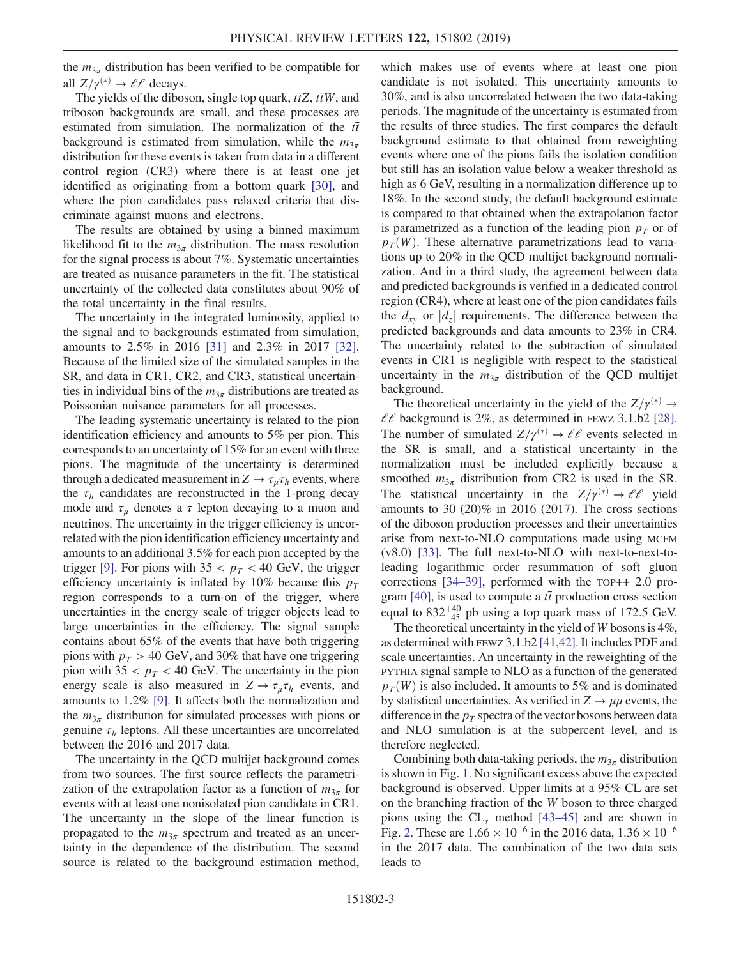the  $m_{3\pi}$  distribution has been verified to be compatible for all  $Z/\gamma^{(*)} \rightarrow \ell \ell$  decays.

The yields of the diboson, single top quark,  $t\bar{t}Z$ ,  $t\bar{t}W$ , and triboson backgrounds are small, and these processes are estimated from simulation. The normalization of the  $t\bar{t}$ background is estimated from simulation, while the  $m_{3\pi}$ distribution for these events is taken from data in a different control region (CR3) where there is at least one jet identified as originating from a bottom quark [\[30\],](#page-4-20) and where the pion candidates pass relaxed criteria that discriminate against muons and electrons.

The results are obtained by using a binned maximum likelihood fit to the  $m_{3\pi}$  distribution. The mass resolution for the signal process is about 7%. Systematic uncertainties are treated as nuisance parameters in the fit. The statistical uncertainty of the collected data constitutes about 90% of the total uncertainty in the final results.

The uncertainty in the integrated luminosity, applied to the signal and to backgrounds estimated from simulation, amounts to 2.5% in 2016 [\[31\]](#page-4-21) and 2.3% in 2017 [\[32\]](#page-4-22). Because of the limited size of the simulated samples in the SR, and data in CR1, CR2, and CR3, statistical uncertainties in individual bins of the  $m_{3\pi}$  distributions are treated as Poissonian nuisance parameters for all processes.

The leading systematic uncertainty is related to the pion identification efficiency and amounts to 5% per pion. This corresponds to an uncertainty of 15% for an event with three pions. The magnitude of the uncertainty is determined through a dedicated measurement in  $Z \to \tau_u \tau_h$  events, where the  $\tau_h$  candidates are reconstructed in the 1-prong decay mode and  $\tau_{\mu}$  denotes a  $\tau$  lepton decaying to a muon and neutrinos. The uncertainty in the trigger efficiency is uncorrelated with the pion identification efficiency uncertainty and amounts to an additional 3.5% for each pion accepted by the trigger [\[9\]](#page-4-17). For pions with  $35 < p_T < 40$  GeV, the trigger efficiency uncertainty is inflated by 10% because this  $p_T$ region corresponds to a turn-on of the trigger, where uncertainties in the energy scale of trigger objects lead to large uncertainties in the efficiency. The signal sample contains about 65% of the events that have both triggering pions with  $p_T > 40$  GeV, and 30% that have one triggering pion with  $35 < p_T < 40$  GeV. The uncertainty in the pion energy scale is also measured in  $Z \rightarrow \tau_{\mu} \tau_{h}$  events, and amounts to 1.2% [\[9\]](#page-4-17). It affects both the normalization and the  $m_{3\pi}$  distribution for simulated processes with pions or genuine  $\tau_h$  leptons. All these uncertainties are uncorrelated between the 2016 and 2017 data.

The uncertainty in the QCD multijet background comes from two sources. The first source reflects the parametrization of the extrapolation factor as a function of  $m_{3\pi}$  for events with at least one nonisolated pion candidate in CR1. The uncertainty in the slope of the linear function is propagated to the  $m_{3\pi}$  spectrum and treated as an uncertainty in the dependence of the distribution. The second source is related to the background estimation method, which makes use of events where at least one pion candidate is not isolated. This uncertainty amounts to 30%, and is also uncorrelated between the two data-taking periods. The magnitude of the uncertainty is estimated from the results of three studies. The first compares the default background estimate to that obtained from reweighting events where one of the pions fails the isolation condition but still has an isolation value below a weaker threshold as high as 6 GeV, resulting in a normalization difference up to 18%. In the second study, the default background estimate is compared to that obtained when the extrapolation factor is parametrized as a function of the leading pion  $p<sub>T</sub>$  or of  $p_T(W)$ . These alternative parametrizations lead to variations up to 20% in the QCD multijet background normalization. And in a third study, the agreement between data and predicted backgrounds is verified in a dedicated control region (CR4), where at least one of the pion candidates fails the  $d_{xy}$  or  $|d_z|$  requirements. The difference between the predicted backgrounds and data amounts to 23% in CR4. The uncertainty related to the subtraction of simulated events in CR1 is negligible with respect to the statistical uncertainty in the  $m_{3\pi}$  distribution of the QCD multijet background.

The theoretical uncertainty in the yield of the  $Z/\gamma^{(*)} \rightarrow$  $\ell\ell$  background is 2%, as determined in FEWZ 3.1.b2 [\[28\]](#page-4-18). The number of simulated  $Z/\gamma^{(*)} \rightarrow \ell \ell$  events selected in the SR is small, and a statistical uncertainty in the normalization must be included explicitly because a smoothed  $m_{3\pi}$  distribution from CR2 is used in the SR. The statistical uncertainty in the  $Z/\gamma^{(*)} \rightarrow \ell \ell$  yield amounts to 30  $(20)\%$  in 2016  $(2017)$ . The cross sections of the diboson production processes and their uncertainties arise from next-to-NLO computations made using MCFM (v8.0) [\[33\].](#page-4-23) The full next-to-NLO with next-to-next-toleading logarithmic order resummation of soft gluon corrections [\[34](#page-4-24)–39], performed with the TOP++ 2.0 pro-gram [\[40\]](#page-4-25), is used to compute a  $t\bar{t}$  production cross section equal to  $832^{+40}_{-45}$  pb using a top quark mass of 172.5 GeV.

The theoretical uncertainty in the yield of  $W$  bosons is  $4\%$ , as determined with FEWZ 3.1.b2 [\[41,42\].](#page-4-26) It includes PDF and scale uncertainties. An uncertainty in the reweighting of the PYTHIA signal sample to NLO as a function of the generated  $p_T(W)$  is also included. It amounts to 5% and is dominated by statistical uncertainties. As verified in  $Z \rightarrow \mu\mu$  events, the difference in the  $p_T$  spectra of the vector bosons between data and NLO simulation is at the subpercent level, and is therefore neglected.

Combining both data-taking periods, the  $m_{3\pi}$  distribution is shown in Fig. [1](#page-3-2). No significant excess above the expected background is observed. Upper limits at a 95% CL are set on the branching fraction of the W boson to three charged pions using the  $CL<sub>s</sub>$  method [\[43](#page-5-0)–45] and are shown in Fig. [2](#page-3-3). These are  $1.66 \times 10^{-6}$  in the 2016 data,  $1.36 \times 10^{-6}$ in the 2017 data. The combination of the two data sets leads to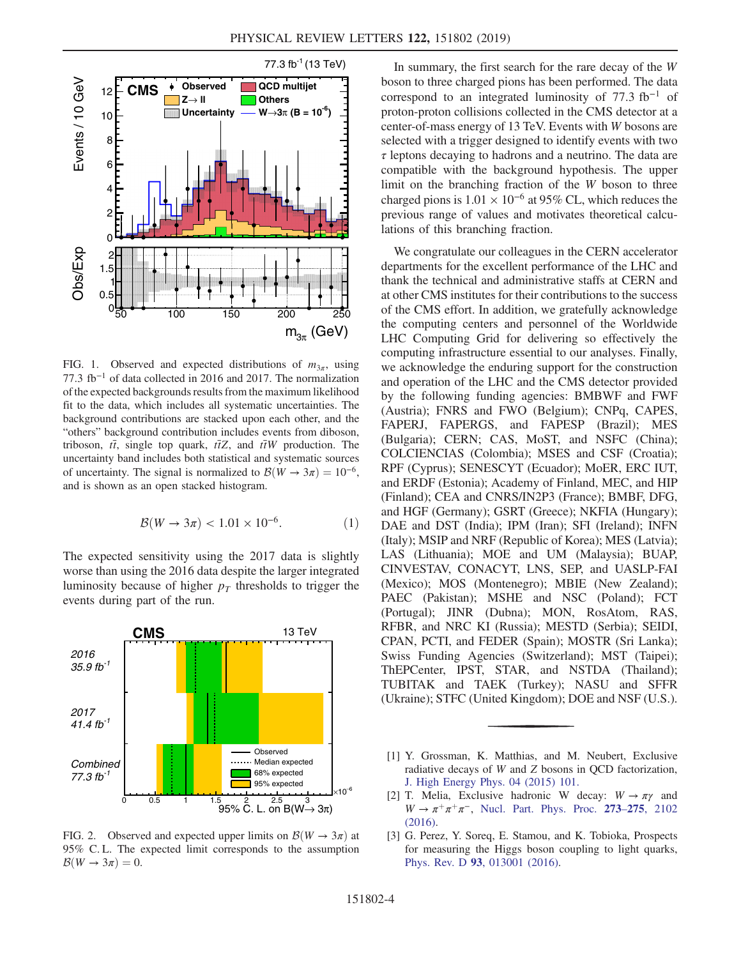<span id="page-3-2"></span>

FIG. 1. Observed and expected distributions of  $m_{3\pi}$ , using 77.3 fb<sup>−</sup><sup>1</sup> of data collected in 2016 and 2017. The normalization of the expected backgrounds results from the maximum likelihood fit to the data, which includes all systematic uncertainties. The background contributions are stacked upon each other, and the "others" background contribution includes events from diboson, triboson,  $t\bar{t}$ , single top quark,  $t\bar{t}Z$ , and  $t\bar{t}W$  production. The uncertainty band includes both statistical and systematic sources of uncertainty. The signal is normalized to  $\mathcal{B}(W \to 3\pi) = 10^{-6}$ , and is shown as an open stacked histogram.

$$
\mathcal{B}(W \to 3\pi) < 1.01 \times 10^{-6}.\tag{1}
$$

The expected sensitivity using the 2017 data is slightly worse than using the 2016 data despite the larger integrated luminosity because of higher  $p<sub>T</sub>$  thresholds to trigger the events during part of the run.

<span id="page-3-3"></span>

FIG. 2. Observed and expected upper limits on  $\mathcal{B}(W \to 3\pi)$  at 95% C. L. The expected limit corresponds to the assumption  $\mathcal{B}(W \to 3\pi) = 0.$ 

In summary, the first search for the rare decay of the W boson to three charged pions has been performed. The data correspond to an integrated luminosity of 77.3 fb<sup>−</sup><sup>1</sup> of proton-proton collisions collected in the CMS detector at a center-of-mass energy of 13 TeV. Events with W bosons are selected with a trigger designed to identify events with two  $\tau$  leptons decaying to hadrons and a neutrino. The data are compatible with the background hypothesis. The upper limit on the branching fraction of the W boson to three charged pions is  $1.01 \times 10^{-6}$  at 95% CL, which reduces the previous range of values and motivates theoretical calculations of this branching fraction.

We congratulate our colleagues in the CERN accelerator departments for the excellent performance of the LHC and thank the technical and administrative staffs at CERN and at other CMS institutes for their contributions to the success of the CMS effort. In addition, we gratefully acknowledge the computing centers and personnel of the Worldwide LHC Computing Grid for delivering so effectively the computing infrastructure essential to our analyses. Finally, we acknowledge the enduring support for the construction and operation of the LHC and the CMS detector provided by the following funding agencies: BMBWF and FWF (Austria); FNRS and FWO (Belgium); CNPq, CAPES, FAPERJ, FAPERGS, and FAPESP (Brazil); MES (Bulgaria); CERN; CAS, MoST, and NSFC (China); COLCIENCIAS (Colombia); MSES and CSF (Croatia); RPF (Cyprus); SENESCYT (Ecuador); MoER, ERC IUT, and ERDF (Estonia); Academy of Finland, MEC, and HIP (Finland); CEA and CNRS/IN2P3 (France); BMBF, DFG, and HGF (Germany); GSRT (Greece); NKFIA (Hungary); DAE and DST (India); IPM (Iran); SFI (Ireland); INFN (Italy); MSIP and NRF (Republic of Korea); MES (Latvia); LAS (Lithuania); MOE and UM (Malaysia); BUAP, CINVESTAV, CONACYT, LNS, SEP, and UASLP-FAI (Mexico); MOS (Montenegro); MBIE (New Zealand); PAEC (Pakistan); MSHE and NSC (Poland); FCT (Portugal); JINR (Dubna); MON, RosAtom, RAS, RFBR, and NRC KI (Russia); MESTD (Serbia); SEIDI, CPAN, PCTI, and FEDER (Spain); MOSTR (Sri Lanka); Swiss Funding Agencies (Switzerland); MST (Taipei); ThEPCenter, IPST, STAR, and NSTDA (Thailand); TUBITAK and TAEK (Turkey); NASU and SFFR (Ukraine); STFC (United Kingdom); DOE and NSF (U.S.).

- <span id="page-3-0"></span>[1] Y. Grossman, K. Matthias, and M. Neubert, Exclusive radiative decays of W and Z bosons in QCD factorization, [J. High Energy Phys. 04 \(2015\) 101.](https://doi.org/10.1007/JHEP04(2015)101)
- <span id="page-3-1"></span>[2] T. Melia, Exclusive hadronic W decay:  $W \rightarrow \pi \gamma$  and  $W \rightarrow \pi^+\pi^+\pi^-$ , [Nucl. Part. Phys. Proc.](https://doi.org/10.1016/j.nuclphysbps.2015.09.341) 273–275, 2102 [\(2016\).](https://doi.org/10.1016/j.nuclphysbps.2015.09.341)
- [3] G. Perez, Y. Soreq, E. Stamou, and K. Tobioka, Prospects for measuring the Higgs boson coupling to light quarks, Phys. Rev. D 93[, 013001 \(2016\)](https://doi.org/10.1103/PhysRevD.93.013001).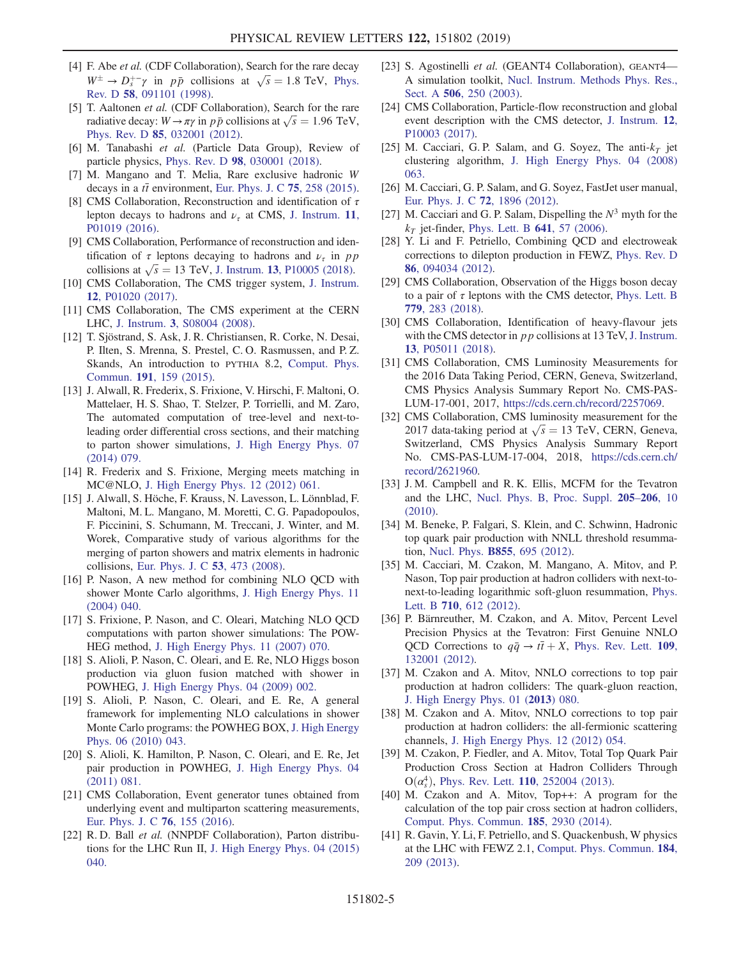- <span id="page-4-0"></span>[4] F. Abe et al. (CDF Collaboration), Search for the rare decay F. Abe *et al.* (CDF Collaboration), Search for the rare decay<br>  $W^{\pm} \rightarrow D_s^{+-} \gamma$  in *pp* collisions at  $\sqrt{s} = 1.8$  TeV, [Phys.](https://doi.org/10.1103/PhysRevD.58.091101) Rev. D 58[, 091101 \(1998\)](https://doi.org/10.1103/PhysRevD.58.091101).
- <span id="page-4-1"></span>[5] T. Aaltonen *et al.* (CDF Collaboration), Search for the rare T. Aaltonen *et al.* (CDF Collaboration), Search for the rare radiative decay:  $W \rightarrow \pi \gamma$  in  $p \bar{p}$  collisions at  $\sqrt{s} = 1.96$  TeV, Phys. Rev. D 85[, 032001 \(2012\)](https://doi.org/10.1103/PhysRevD.85.032001).
- <span id="page-4-2"></span>[6] M. Tanabashi et al. (Particle Data Group), Review of particle physics, Phys. Rev. D 98[, 030001 \(2018\).](https://doi.org/10.1103/PhysRevD.98.030001)
- [7] M. Mangano and T. Melia, Rare exclusive hadronic W decays in a  $t\bar{t}$  environment, [Eur. Phys. J. C](https://doi.org/10.1140/epjc/s10052-015-3482-x) 75, 258 (2015).
- <span id="page-4-3"></span>[8] CMS Collaboration, Reconstruction and identification of  $\tau$ lepton decays to hadrons and  $\nu_{\tau}$  at CMS, [J. Instrum.](https://doi.org/10.1088/1748-0221/11/01/P01019) 11, [P01019 \(2016\)](https://doi.org/10.1088/1748-0221/11/01/P01019).
- <span id="page-4-17"></span>[9] CMS Collaboration, Performance of reconstruction and identification of  $\tau$  leptons decaying to hadrons and  $\nu_{\tau}$  in pp tification of  $\tau$  leptons decaying to hadrons and  $\nu_{\tau}$  in p<sub>I</sub> collisions at  $\sqrt{s} = 13$  TeV, J. Instrum. **13**[, P10005 \(2018\).](https://doi.org/10.1088/1748-0221/13/10/P10005)
- <span id="page-4-4"></span>[10] CMS Collaboration, The CMS trigger system, [J. Instrum.](https://doi.org/10.1088/1748-0221/12/01/P01020) 12[, P01020 \(2017\)](https://doi.org/10.1088/1748-0221/12/01/P01020).
- <span id="page-4-5"></span>[11] CMS Collaboration, The CMS experiment at the CERN LHC, J. Instrum. 3[, S08004 \(2008\).](https://doi.org/10.1088/1748-0221/3/08/S08004)
- <span id="page-4-6"></span>[12] T. Sjöstrand, S. Ask, J. R. Christiansen, R. Corke, N. Desai, P. Ilten, S. Mrenna, S. Prestel, C. O. Rasmussen, and P. Z. Skands, An introduction to PYTHIA 8.2, [Comput. Phys.](https://doi.org/10.1016/j.cpc.2015.01.024) Commun. 191[, 159 \(2015\)](https://doi.org/10.1016/j.cpc.2015.01.024).
- <span id="page-4-7"></span>[13] J. Alwall, R. Frederix, S. Frixione, V. Hirschi, F. Maltoni, O. Mattelaer, H. S. Shao, T. Stelzer, P. Torrielli, and M. Zaro, The automated computation of tree-level and next-toleading order differential cross sections, and their matching to parton shower simulations, [J. High Energy Phys. 07](https://doi.org/10.1007/JHEP07(2014)079) [\(2014\) 079.](https://doi.org/10.1007/JHEP07(2014)079)
- <span id="page-4-8"></span>[14] R. Frederix and S. Frixione, Merging meets matching in MC@NLO, [J. High Energy Phys. 12 \(2012\) 061.](https://doi.org/10.1007/JHEP12(2012)061)
- <span id="page-4-9"></span>[15] J. Alwall, S. Höche, F. Krauss, N. Lavesson, L. Lönnblad, F. Maltoni, M. L. Mangano, M. Moretti, C. G. Papadopoulos, F. Piccinini, S. Schumann, M. Treccani, J. Winter, and M. Worek, Comparative study of various algorithms for the merging of parton showers and matrix elements in hadronic collisions, [Eur. Phys. J. C](https://doi.org/10.1140/epjc/s10052-007-0490-5) 53, 473 (2008).
- <span id="page-4-10"></span>[16] P. Nason, A new method for combining NLO QCD with shower Monte Carlo algorithms, [J. High Energy Phys. 11](https://doi.org/10.1088/1126-6708/2004/11/040) [\(2004\) 040.](https://doi.org/10.1088/1126-6708/2004/11/040)
- [17] S. Frixione, P. Nason, and C. Oleari, Matching NLO QCD computations with parton shower simulations: The POW-HEG method, [J. High Energy Phys. 11 \(2007\) 070.](https://doi.org/10.1088/1126-6708/2007/11/070)
- [18] S. Alioli, P. Nason, C. Oleari, and E. Re, NLO Higgs boson production via gluon fusion matched with shower in POWHEG, [J. High Energy Phys. 04 \(2009\) 002.](https://doi.org/10.1088/1126-6708/2009/04/002)
- [19] S. Alioli, P. Nason, C. Oleari, and E. Re, A general framework for implementing NLO calculations in shower Monte Carlo programs: the POWHEG BOX, [J. High Energy](https://doi.org/10.1007/JHEP06(2010)043) [Phys. 06 \(2010\) 043.](https://doi.org/10.1007/JHEP06(2010)043)
- [20] S. Alioli, K. Hamilton, P. Nason, C. Oleari, and E. Re, Jet pair production in POWHEG, [J. High Energy Phys. 04](https://doi.org/10.1007/JHEP04(2011)081) [\(2011\) 081.](https://doi.org/10.1007/JHEP04(2011)081)
- <span id="page-4-11"></span>[21] CMS Collaboration, Event generator tunes obtained from underlying event and multiparton scattering measurements, [Eur. Phys. J. C](https://doi.org/10.1140/epjc/s10052-016-3988-x) 76, 155 (2016).
- <span id="page-4-12"></span>[22] R. D. Ball et al. (NNPDF Collaboration), Parton distributions for the LHC Run II, [J. High Energy Phys. 04 \(2015\)](https://doi.org/10.1007/JHEP04(2015)040) [040.](https://doi.org/10.1007/JHEP04(2015)040)
- <span id="page-4-13"></span>[23] S. Agostinelli et al. (GEANT4 Collaboration), GEANT4-A simulation toolkit, [Nucl. Instrum. Methods Phys. Res.,](https://doi.org/10.1016/S0168-9002(03)01368-8) Sect. A 506[, 250 \(2003\)](https://doi.org/10.1016/S0168-9002(03)01368-8).
- <span id="page-4-14"></span>[24] CMS Collaboration, Particle-flow reconstruction and global event description with the CMS detector, [J. Instrum.](https://doi.org/10.1088/1748-0221/12/10/P10003) 12, [P10003 \(2017\)](https://doi.org/10.1088/1748-0221/12/10/P10003).
- <span id="page-4-15"></span>[25] M. Cacciari, G. P. Salam, and G. Soyez, The anti- $k_T$  jet clustering algorithm, [J. High Energy Phys. 04 \(2008\)](https://doi.org/10.1088/1126-6708/2008/04/063) [063.](https://doi.org/10.1088/1126-6708/2008/04/063)
- <span id="page-4-16"></span>[26] M. Cacciari, G. P. Salam, and G. Soyez, FastJet user manual, [Eur. Phys. J. C](https://doi.org/10.1140/epjc/s10052-012-1896-2) 72, 1896 (2012).
- [27] M. Cacciari and G. P. Salam, Dispelling the  $N^3$  myth for the  $k_T$  jet-finder, [Phys. Lett. B](https://doi.org/10.1016/j.physletb.2006.08.037) 641, 57 (2006).
- <span id="page-4-18"></span>[28] Y. Li and F. Petriello, Combining QCD and electroweak corrections to dilepton production in FEWZ, [Phys. Rev. D](https://doi.org/10.1103/PhysRevD.86.094034) 86[, 094034 \(2012\).](https://doi.org/10.1103/PhysRevD.86.094034)
- <span id="page-4-19"></span>[29] CMS Collaboration, Observation of the Higgs boson decay to a pair of  $\tau$  leptons with the CMS detector, [Phys. Lett. B](https://doi.org/10.1016/j.physletb.2018.02.004) 779[, 283 \(2018\)](https://doi.org/10.1016/j.physletb.2018.02.004).
- <span id="page-4-20"></span>[30] CMS Collaboration, Identification of heavy-flavour jets with the CMS detector in *pp* collisions at 13 TeV, [J. Instrum.](https://doi.org/10.1088/1748-0221/13/05/P05011) 13[, P05011 \(2018\)](https://doi.org/10.1088/1748-0221/13/05/P05011).
- <span id="page-4-21"></span>[31] CMS Collaboration, CMS Luminosity Measurements for the 2016 Data Taking Period, CERN, Geneva, Switzerland, CMS Physics Analysis Summary Report No. CMS-PAS-LUM-17-001, 2017, [https://cds.cern.ch/record/2257069.](https://cds.cern.ch/record/2257069)
- <span id="page-4-22"></span>[32] CMS Collaboration, CMS luminosity measurement for the CMS Collaboration, CMS luminosity measurement for the 2017 data-taking period at  $\sqrt{s} = 13$  TeV, CERN, Geneva, Switzerland, CMS Physics Analysis Summary Report No. CMS-PAS-LUM-17-004, 2018, [https://cds.cern.ch/](https://cds.cern.ch/record/2621960) [record/2621960.](https://cds.cern.ch/record/2621960)
- <span id="page-4-23"></span>[33] J. M. Campbell and R. K. Ellis, MCFM for the Tevatron and the LHC, [Nucl. Phys. B, Proc. Suppl.](https://doi.org/10.1016/j.nuclphysbps.2010.08.011) 205–206, 10 [\(2010\).](https://doi.org/10.1016/j.nuclphysbps.2010.08.011)
- <span id="page-4-24"></span>[34] M. Beneke, P. Falgari, S. Klein, and C. Schwinn, Hadronic top quark pair production with NNLL threshold resummation, Nucl. Phys. B855[, 695 \(2012\)](https://doi.org/10.1016/j.nuclphysb.2011.10.021).
- [35] M. Cacciari, M. Czakon, M. Mangano, A. Mitov, and P. Nason, Top pair production at hadron colliders with next-tonext-to-leading logarithmic soft-gluon resummation, [Phys.](https://doi.org/10.1016/j.physletb.2012.03.013) Lett. B 710[, 612 \(2012\).](https://doi.org/10.1016/j.physletb.2012.03.013)
- [36] P. Bärnreuther, M. Czakon, and A. Mitov, Percent Level Precision Physics at the Tevatron: First Genuine NNLO QCD Corrections to  $q\bar{q} \rightarrow t\bar{t} + X$ , [Phys. Rev. Lett.](https://doi.org/10.1103/PhysRevLett.109.132001) 109, [132001 \(2012\).](https://doi.org/10.1103/PhysRevLett.109.132001)
- [37] M. Czakon and A. Mitov, NNLO corrections to top pair production at hadron colliders: The quark-gluon reaction, [J. High Energy Phys. 01 \(](https://doi.org/10.1007/JHEP01(2013)080)2013) 080.
- [38] M. Czakon and A. Mitov, NNLO corrections to top pair production at hadron colliders: the all-fermionic scattering channels, [J. High Energy Phys. 12 \(2012\) 054.](https://doi.org/10.1007/JHEP12(2012)054)
- [39] M. Czakon, P. Fiedler, and A. Mitov, Total Top Quark Pair Production Cross Section at Hadron Colliders Through  $O(\alpha_s^4)$ , Phys. Rev. Lett. 110[, 252004 \(2013\).](https://doi.org/10.1103/PhysRevLett.110.252004)
- <span id="page-4-25"></span>[40] M. Czakon and A. Mitov, Top++: A program for the calculation of the top pair cross section at hadron colliders, [Comput. Phys. Commun.](https://doi.org/10.1016/j.cpc.2014.06.021) 185, 2930 (2014).
- <span id="page-4-26"></span>[41] R. Gavin, Y. Li, F. Petriello, and S. Quackenbush, W physics at the LHC with FEWZ 2.1, [Comput. Phys. Commun.](https://doi.org/10.1016/j.cpc.2012.09.005) 184, [209 \(2013\)](https://doi.org/10.1016/j.cpc.2012.09.005).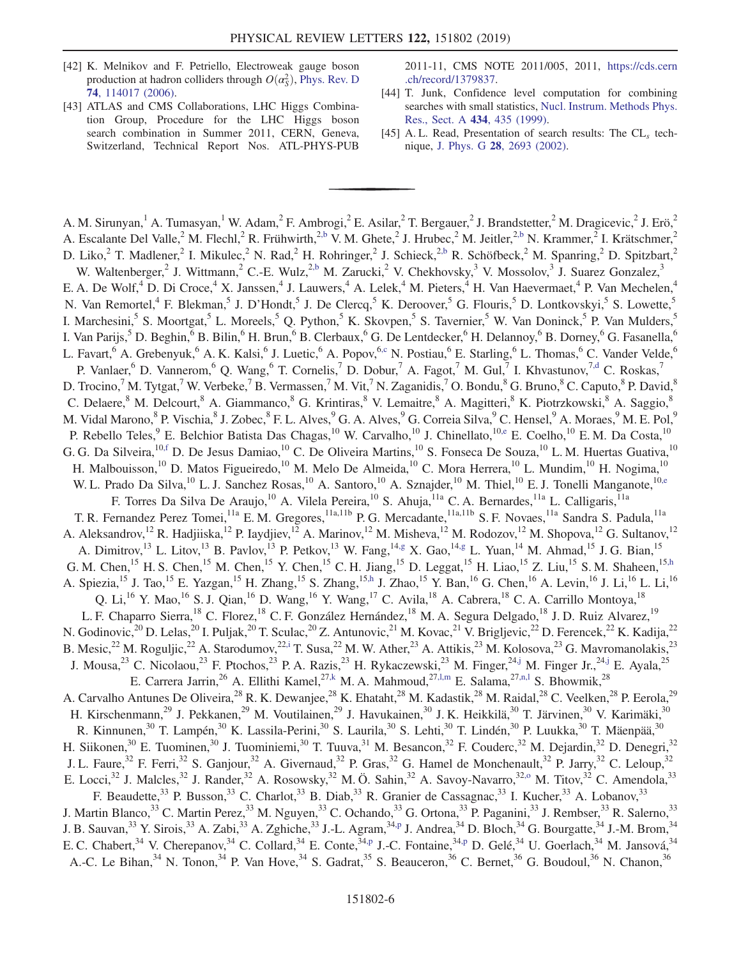- [42] K. Melnikov and F. Petriello, Electroweak gauge boson production at hadron colliders through  $O(\alpha_S^2)$ , [Phys. Rev. D](https://doi.org/10.1103/PhysRevD.74.114017) 74[, 114017 \(2006\).](https://doi.org/10.1103/PhysRevD.74.114017)
- <span id="page-5-0"></span>[43] ATLAS and CMS Collaborations, LHC Higgs Combination Group, Procedure for the LHC Higgs boson search combination in Summer 2011, CERN, Geneva, Switzerland, Technical Report Nos. ATL-PHYS-PUB

2011-11, CMS NOTE 2011/005, 2011, [https://cds.cern](https://cds.cern.ch/record/1379837) [.ch/record/1379837](https://cds.cern.ch/record/1379837).

- [44] T. Junk, Confidence level computation for combining searches with small statistics, [Nucl. Instrum. Methods Phys.](https://doi.org/10.1016/S0168-9002(99)00498-2) [Res., Sect. A](https://doi.org/10.1016/S0168-9002(99)00498-2) 434, 435 (1999).
- [45] A. L. Read, Presentation of search results: The  $CL<sub>s</sub>$  technique, J. Phys. G 28[, 2693 \(2002\).](https://doi.org/10.1088/0954-3899/28/10/313)

<span id="page-5-12"></span><span id="page-5-11"></span><span id="page-5-10"></span><span id="page-5-9"></span><span id="page-5-8"></span><span id="page-5-7"></span><span id="page-5-6"></span><span id="page-5-5"></span><span id="page-5-4"></span><span id="page-5-3"></span><span id="page-5-2"></span><span id="page-5-1"></span>A. M. Sirunyan,<sup>1</sup> A. Tumasyan,<sup>1</sup> W. Adam,<sup>2</sup> F. Ambrogi,<sup>2</sup> E. Asilar,<sup>2</sup> T. Bergauer,<sup>2</sup> J. Brandstetter,<sup>2</sup> M. Dragicevic,<sup>2</sup> J. Erö,<sup>2</sup> A. Escalante Del Valle,<sup>2</sup> M. Flechl,<sup>2</sup> R. Frühwirth,<sup>[2,b](#page-14-0)</sup> V. M. Ghete,<sup>2</sup> J. Hrubec,<sup>2</sup> M. Jeitler,<sup>2[,b](#page-14-0)</sup> N. Krammer,<sup>2</sup> I. Krätschmer,<sup>2</sup> D. Liko,<sup>2</sup> T. Madlener,<sup>2</sup> I. Mikulec,<sup>2</sup> N. Rad,<sup>2</sup> H. Rohringer,<sup>2</sup> J. Schieck,<sup>[2,b](#page-14-0)</sup> R. Schöfbeck,<sup>2</sup> M. Spanring,<sup>2</sup> D. Spitzbart,<sup>2</sup> W. Waltenberger,<sup>2</sup> J. Wittmann,<sup>2</sup> C.-E. Wulz,<sup>[2,b](#page-14-0)</sup> M. Zarucki,<sup>2</sup> V. Chekhovsky,<sup>3</sup> V. Mossolov,<sup>3</sup> J. Suarez Gonzalez,<sup>3</sup> E. A. De Wolf,<sup>4</sup> D. Di Croce,<sup>4</sup> X. Janssen,<sup>4</sup> J. Lauwers,<sup>4</sup> A. Lelek,<sup>4</sup> M. Pieters,<sup>4</sup> H. Van Haevermaet,<sup>4</sup> P. Van Mechelen,<sup>4</sup> N. Van Remortel,<sup>4</sup> F. Blekman,<sup>5</sup> J. D'Hondt,<sup>5</sup> J. De Clercq,<sup>5</sup> K. Deroover,<sup>5</sup> G. Flouris,<sup>5</sup> D. Lontkovskyi,<sup>5</sup> S. Lowette,<sup>5</sup> I. Marchesini,<sup>5</sup> S. Moortgat,<sup>5</sup> L. Moreels,<sup>5</sup> Q. Python,<sup>5</sup> K. Skovpen,<sup>5</sup> S. Tavernier,<sup>5</sup> W. Van Doninck,<sup>5</sup> P. Van Mulders,<sup>5</sup> I. Van Parijs,<sup>5</sup> D. Beghin,<sup>6</sup> B. Bilin,<sup>6</sup> H. Brun,<sup>6</sup> B. Clerbaux,<sup>6</sup> G. De Lentdecker,<sup>6</sup> H. Delannoy,<sup>6</sup> B. Dorney,<sup>6</sup> G. Fasanella,<sup>6</sup> L. Favart,<sup>6</sup> A. Grebenyuk,<sup>6</sup> A. K. Kalsi,<sup>6</sup> J. Luetic,<sup>6</sup> A. Popov,<sup>[6,c](#page-14-1)</sup> N. Postiau,<sup>6</sup> E. Starling,<sup>6</sup> L. Thomas,<sup>6</sup> C. Vander Velde,<sup>6</sup> P. Vanlaer,<sup>6</sup> D. Vannerom,<sup>6</sup> Q. Wang,<sup>6</sup> T. Cornelis,<sup>7</sup> D. Dobur,<sup>7</sup> A. Fagot,<sup>7</sup> M. Gul,<sup>7</sup> I. Khvastunov,<sup>[7,d](#page-14-2)</sup> C. Roskas,<sup>7</sup> D. Trocino,<sup>7</sup> M. Tytgat,<sup>7</sup> W. Verbeke,<sup>7</sup> B. Vermassen,<sup>7</sup> M. Vit,<sup>7</sup> N. Zaganidis,<sup>7</sup> O. Bondu,<sup>8</sup> G. Bruno,<sup>8</sup> C. Caputo,<sup>8</sup> P. David,<sup>8</sup> C. Delaere, <sup>8</sup> M. Delcourt, <sup>8</sup> A. Giammanco, <sup>8</sup> G. Krintiras, <sup>8</sup> V. Lemaitre, <sup>8</sup> A. Magitteri, <sup>8</sup> K. Piotrzkowski, <sup>8</sup> A. Saggio, <sup>8</sup> M. Vidal Marono,<sup>8</sup> P. Vischia,<sup>8</sup> J. Zobec,<sup>8</sup> F. L. Alves,<sup>9</sup> G. A. Alves,<sup>9</sup> G. Correia Silva,<sup>9</sup> C. Hensel,<sup>9</sup> A. Moraes,<sup>9</sup> M. E. Pol,<sup>9</sup> P. Rebello Teles,<sup>9</sup> E. Belchior Batista Das Chagas,<sup>10</sup> W. Carvalho,<sup>10</sup> J. Chinellato,<sup>1[0,e](#page-14-3)</sup> E. Coelho,<sup>10</sup> E. M. Da Costa,<sup>10</sup> G. G. Da Silveira, <sup>10[,f](#page-14-4)</sup> D. De Jesus Damiao, <sup>10</sup> C. De Oliveira Martins, <sup>10</sup> S. Fonseca De Souza, <sup>10</sup> L. M. Huertas Guativa, <sup>10</sup> H. Malbouisson,<sup>10</sup> D. Matos Figueiredo,<sup>10</sup> M. Melo De Almeida,<sup>10</sup> C. Mora Herrera,<sup>10</sup> L. Mundim,<sup>10</sup> H. Nogima,<sup>10</sup> W. L. Prado Da Silva,<sup>10</sup> L. J. Sanchez Rosas,<sup>10</sup> A. Santoro,<sup>10</sup> A. Sznajder,<sup>10</sup> M. Thiel,<sup>10</sup> E. J. Tonelli Manganote,<sup>10[,e](#page-14-3)</sup> F. Torres Da Silva De Araujo,<sup>10</sup> A. Vilela Pereira,<sup>10</sup> S. Ahuja,<sup>11a</sup> C. A. Bernardes,<sup>11a</sup> L. Calligaris,<sup>11a</sup> T. R. Fernandez Perez Tomei,<sup>11a</sup> E. M. Gregores,<sup>11a,11b</sup> P. G. Mercadante,<sup>11a,11b</sup> S. F. Novaes,<sup>11a</sup> Sandra S. Padula,<sup>11a</sup> A. Aleksandrov,<sup>12</sup> R. Hadjiiska,<sup>12</sup> P. Iaydjiev,<sup>12</sup> A. Marinov,<sup>12</sup> M. Misheva,<sup>12</sup> M. Rodozov,<sup>12</sup> M. Shopova,<sup>12</sup> G. Sultanov,<sup>12</sup> A. Dimitrov,<sup>13</sup> L. Litov,<sup>13</sup> B. Pavlov,<sup>13</sup> P. Petkov,<sup>13</sup> W. Fang,<sup>14[,g](#page-14-5)</sup> X. Gao,<sup>1[4,g](#page-14-5)</sup> L. Yuan,<sup>14</sup> M. Ahmad,<sup>15</sup> J. G. Bian,<sup>15</sup> G. M. Chen, <sup>15</sup> H. S. Chen, <sup>15</sup> M. Chen, <sup>15</sup> Y. Chen, <sup>15</sup> C. H. Jiang, <sup>15</sup> D. Leggat, <sup>15</sup> H. Liao, <sup>15</sup> Z. Liu, <sup>15</sup> S. M. Shaheen, <sup>15[,h](#page-14-6)</sup> A. Spiezia,<sup>15</sup> J. Tao,<sup>15</sup> E. Yazgan,<sup>15</sup> H. Zhang,<sup>15</sup> S. Zhang,<sup>15[,h](#page-14-6)</sup> J. Zhao,<sup>15</sup> Y. Ban,<sup>16</sup> G. Chen,<sup>16</sup> A. Levin,<sup>16</sup> J. Li,<sup>16</sup> L. Li,<sup>16</sup> Q. Li,<sup>16</sup> Y. Mao,<sup>16</sup> S. J. Qian,<sup>16</sup> D. Wang,<sup>16</sup> Y. Wang,<sup>17</sup> C. Avila,<sup>18</sup> A. Cabrera,<sup>18</sup> C. A. Carrillo Montoya,<sup>18</sup> L. F. Chaparro Sierra,<sup>18</sup> C. Florez,<sup>18</sup> C. F. González Hernández,<sup>18</sup> M. A. Segura Delgado,<sup>18</sup> J. D. Ruiz Alvarez,<sup>19</sup> N. Godinovic,<sup>20</sup> D. Lelas,<sup>20</sup> I. Puljak,<sup>20</sup> T. Sculac,<sup>20</sup> Z. Antunovic,<sup>21</sup> M. Kovac,<sup>21</sup> V. Brigljevic,<sup>22</sup> D. Ferencek,<sup>22</sup> K. Kadija,<sup>22</sup> B. Mesic,<sup>22</sup> M. Roguljic,<sup>22</sup> A. Starodumov,<sup>2[2,i](#page-14-7)</sup> T. Susa,<sup>22</sup> M. W. Ather,<sup>23</sup> A. Attikis,<sup>23</sup> M. Kolosova,<sup>23</sup> G. Mavromanolakis,<sup>23</sup> J. Mousa,<sup>23</sup> C. Nicolaou,<sup>23</sup> F. Ptochos,<sup>23</sup> P. A. Razis,<sup>23</sup> H. Rykaczewski,<sup>23</sup> M. Finger,<sup>2[4,j](#page-14-8)</sup> M. Finger Jr.,<sup>24[,j](#page-14-8)</sup> E. Ayala,<sup>25</sup> E. Carrera Jarrin,<sup>26</sup> A. Ellithi Kamel,<sup>2[7,k](#page-14-9)</sup> M. A. Mahmoud,<sup>27[,l,m](#page-15-0)</sup> E. Salama,<sup>27[,n,l](#page-15-1)</sup> S. Bhowmik,<sup>28</sup> A. Carvalho Antunes De Oliveira,<sup>28</sup> R. K. Dewanjee,<sup>28</sup> K. Ehataht,<sup>28</sup> M. Kadastik,<sup>28</sup> M. Raidal,<sup>28</sup> C. Veelken,<sup>28</sup> P. Eerola,<sup>29</sup> H. Kirschenmann,<sup>29</sup> J. Pekkanen,<sup>29</sup> M. Voutilainen,<sup>29</sup> J. Havukainen,<sup>30</sup> J. K. Heikkilä,<sup>30</sup> T. Järvinen,<sup>30</sup> V. Karimäki,<sup>30</sup> R. Kinnunen,<sup>30</sup> T. Lampén,<sup>30</sup> K. Lassila-Perini,<sup>30</sup> S. Laurila,<sup>30</sup> S. Lehti,<sup>30</sup> T. Lindén,<sup>30</sup> P. Luukka,<sup>30</sup> T. Mäenpää,<sup>30</sup> H. Siikonen,<sup>30</sup> E. Tuominen,<sup>30</sup> J. Tuominiemi,<sup>30</sup> T. Tuuva,<sup>31</sup> M. Besancon,<sup>32</sup> F. Couderc,<sup>32</sup> M. Dejardin,<sup>32</sup> D. Denegri,<sup>32</sup> J. L. Faure,<sup>32</sup> F. Ferri,<sup>32</sup> S. Ganjour,<sup>32</sup> A. Givernaud,<sup>32</sup> P. Gras,<sup>32</sup> G. Hamel de Monchenault,<sup>32</sup> P. Jarry,<sup>32</sup> C. Leloup,<sup>32</sup> E. Locci,<sup>32</sup> J. Malcles,<sup>32</sup> J. Rander,<sup>32</sup> A. Rosowsky,<sup>32</sup> M. Ö. Sahin,<sup>32</sup> A. Savoy-Navarro,<sup>32,0</sup> M. Titov,<sup>32</sup> C. Amendola,<sup>33</sup> F. Beaudette,<sup>33</sup> P. Busson,<sup>33</sup> C. Charlot,<sup>33</sup> B. Diab,<sup>33</sup> R. Granier de Cassagnac,<sup>33</sup> I. Kucher,<sup>33</sup> A. Lobanov,<sup>33</sup> J. Martin Blanco,<sup>33</sup> C. Martin Perez,<sup>33</sup> M. Nguyen,<sup>33</sup> C. Ochando,<sup>33</sup> G. Ortona,<sup>33</sup> P. Paganini,<sup>33</sup> J. Rembser,<sup>33</sup> R. Salerno,<sup>33</sup> J. B. Sauvan,<sup>33</sup> Y. Sirois,<sup>33</sup> A. Zabi,<sup>33</sup> A. Zghiche,<sup>33</sup> J.-L. Agram,<sup>34[,p](#page-15-3)</sup> J. Andrea,<sup>34</sup> D. Bloch,<sup>34</sup> G. Bourgatte,<sup>34</sup> J.-M. Brom,<sup>34</sup> E. C. Chabert,<sup>34</sup> V. Cherepanov,<sup>34</sup> C. Collard,<sup>34</sup> E. Conte,<sup>34[,p](#page-15-3)</sup> J.-C. Fontaine,<sup>3[4,p](#page-15-3)</sup> D. Gelé,<sup>34</sup> U. Goerlach,<sup>34</sup> M. Jansová,<sup>34</sup> A.-C. Le Bihan,<sup>34</sup> N. Tonon,<sup>34</sup> P. Van Hove,<sup>34</sup> S. Gadrat,<sup>35</sup> S. Beauceron,<sup>36</sup> C. Bernet,<sup>36</sup> G. Boudoul,<sup>36</sup> N. Chanon,<sup>36</sup>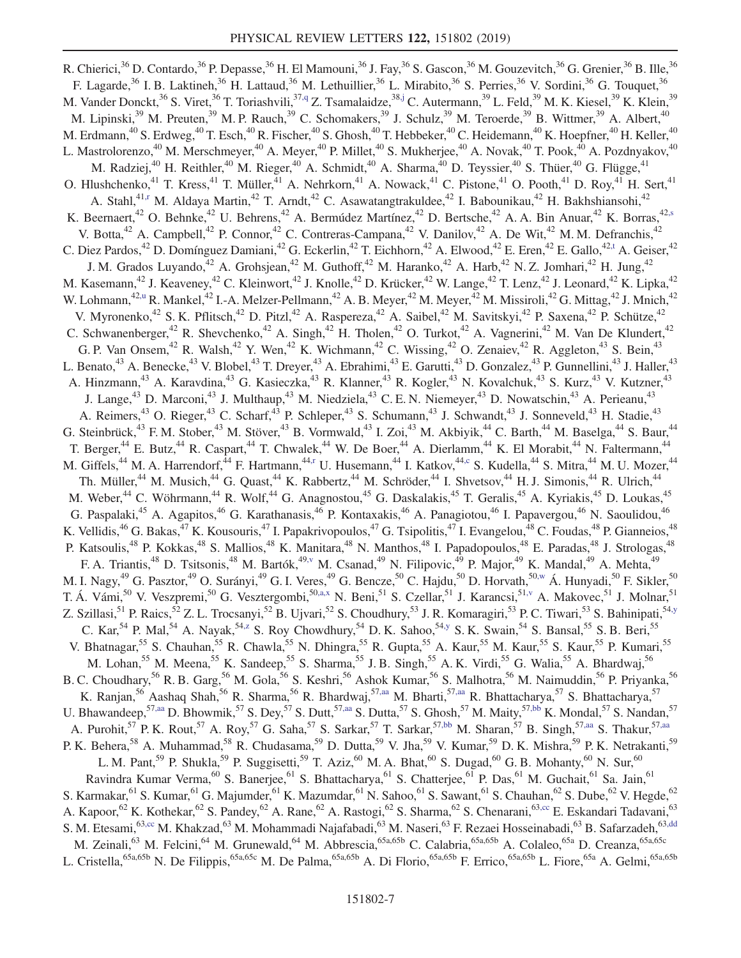<span id="page-6-9"></span><span id="page-6-8"></span><span id="page-6-7"></span><span id="page-6-6"></span><span id="page-6-5"></span><span id="page-6-4"></span><span id="page-6-3"></span><span id="page-6-2"></span><span id="page-6-1"></span><span id="page-6-0"></span>R. Chierici,<sup>36</sup> D. Contardo,<sup>36</sup> P. Depasse,<sup>36</sup> H. El Mamouni,<sup>36</sup> J. Fay,<sup>36</sup> S. Gascon,<sup>36</sup> M. Gouzevitch,<sup>36</sup> G. Grenier,<sup>36</sup> B. Ille,<sup>36</sup> F. Lagarde,<sup>36</sup> I. B. Laktineh,<sup>36</sup> H. Lattaud,<sup>36</sup> M. Lethuillier,<sup>36</sup> L. Mirabito,<sup>36</sup> S. Perries,<sup>36</sup> V. Sordini,<sup>36</sup> G. Touquet,<sup>36</sup> M. Vander Donckt,<sup>36</sup> S. Viret,<sup>36</sup> T. Toriashvili,<sup>37[,q](#page-15-4)</sup> Z. Tsamalaidze,<sup>38[,j](#page-14-8)</sup> C. Autermann,<sup>39</sup> L. Feld,<sup>39</sup> M. K. Kiesel,<sup>39</sup> K. Klein,<sup>39</sup> M. Lipinski,<sup>39</sup> M. Preuten,<sup>39</sup> M. P. Rauch,<sup>39</sup> C. Schomakers,<sup>39</sup> J. Schulz,<sup>39</sup> M. Teroerde,<sup>39</sup> B. Wittmer,<sup>39</sup> A. Albert,<sup>40</sup> M. Erdmann, $^{40}$  S. Erdweg, $^{40}$  T. Esch, $^{40}$  R. Fischer, $^{40}$  S. Ghosh, $^{40}$  T. Hebbeker, $^{40}$  C. Heidemann, $^{40}$  K. Hoepfner, $^{40}$  H. Keller, $^{40}$ L. Mastrolorenzo,<sup>40</sup> M. Merschmeyer,<sup>40</sup> A. Meyer,<sup>40</sup> P. Millet,<sup>40</sup> S. Mukherjee,<sup>40</sup> A. Novak,<sup>40</sup> T. Pook,<sup>40</sup> A. Pozdnyakov,<sup>40</sup> M. Radziej,<sup>40</sup> H. Reithler,<sup>40</sup> M. Rieger,<sup>40</sup> A. Schmidt,<sup>40</sup> A. Sharma,<sup>40</sup> D. Teyssier,<sup>40</sup> S. Thüer,<sup>40</sup> G. Flügge,<sup>41</sup> O. Hlushchenko,<sup>41</sup> T. Kress,<sup>41</sup> T. Müller,<sup>41</sup> A. Nehrkorn,<sup>41</sup> A. Nowack,<sup>41</sup> C. Pistone,<sup>41</sup> O. Pooth,<sup>41</sup> D. Roy,<sup>41</sup> H. Sert,<sup>41</sup> A. Stahl,<sup>41[,r](#page-15-5)</sup> M. Aldaya Martin,<sup>42</sup> T. Arndt,<sup>42</sup> C. Asawatangtrakuldee,<sup>42</sup> I. Babounikau,<sup>42</sup> H. Bakhshiansohi,<sup>42</sup> K. Beernaert,<sup>42</sup> O. Behnke,<sup>42</sup> U. Behrens,<sup>42</sup> A. Bermúdez Martínez,<sup>42</sup> D. Bertsche,<sup>42</sup> A. A. Bin Anuar,<sup>42</sup> K. Borras,<sup>4[2,s](#page-15-6)</sup> V. Botta,<sup>42</sup> A. Campbell,<sup>42</sup> P. Connor,<sup>42</sup> C. Contreras-Campana,<sup>42</sup> V. Danilov,<sup>42</sup> A. De Wit,<sup>42</sup> M. M. Defranchis,<sup>42</sup> C. Diez Pardos,<sup>42</sup> D. Domínguez Damiani,<sup>42</sup> G. Eckerlin,<sup>42</sup> T. Eichhorn,<sup>42</sup> A. Elwood,<sup>42</sup> E. Eren,<sup>42</sup> E. Gallo,<sup>42[,t](#page-15-7)</sup> A. Geiser,<sup>42</sup> J. M. Grados Luyando,<sup>42</sup> A. Grohsjean,<sup>42</sup> M. Guthoff,<sup>42</sup> M. Haranko,<sup>42</sup> A. Harb,<sup>42</sup> N. Z. Jomhari,<sup>42</sup> H. Jung,<sup>42</sup> M. Kasemann,<sup>42</sup> J. Keaveney,<sup>42</sup> C. Kleinwort,<sup>42</sup> J. Knolle,<sup>42</sup> D. Krücker,<sup>42</sup> W. Lange,<sup>42</sup> T. Lenz,<sup>42</sup> J. Leonard,<sup>42</sup> K. Lipka,<sup>42</sup> W. Lohmann,<sup>4[2,u](#page-15-8)</sup> R. Mankel,<sup>42</sup> I.-A. Melzer-Pellmann,<sup>42</sup> A. B. Meyer,<sup>42</sup> M. Meyer,<sup>42</sup> M. Missiroli,<sup>42</sup> G. Mittag,<sup>42</sup> J. Mnich,<sup>42</sup> V. Myronenko,<sup>42</sup> S. K. Pflitsch,<sup>42</sup> D. Pitzl,<sup>42</sup> A. Raspereza,<sup>42</sup> A. Saibel,<sup>42</sup> M. Savitskyi,<sup>42</sup> P. Saxena,<sup>42</sup> P. Schütze,<sup>42</sup> C. Schwanenberger,<sup>42</sup> R. Shevchenko,<sup>42</sup> A. Singh,<sup>42</sup> H. Tholen,<sup>42</sup> O. Turkot,<sup>42</sup> A. Vagnerini,<sup>42</sup> M. Van De Klundert,<sup>42</sup> G. P. Van Onsem,<sup>42</sup> R. Walsh,<sup>42</sup> Y. Wen,<sup>42</sup> K. Wichmann,<sup>42</sup> C. Wissing,<sup>42</sup> O. Zenaiev,<sup>42</sup> R. Aggleton,<sup>43</sup> S. Bein,<sup>43</sup> L. Benato,<sup>43</sup> A. Benecke,<sup>43</sup> V. Blobel,<sup>43</sup> T. Dreyer,<sup>43</sup> A. Ebrahimi,<sup>43</sup> E. Garutti,<sup>43</sup> D. Gonzalez,<sup>43</sup> P. Gunnellini,<sup>43</sup> J. Haller,<sup>43</sup> A. Hinzmann,<sup>43</sup> A. Karavdina,<sup>43</sup> G. Kasieczka,<sup>43</sup> R. Klanner,<sup>43</sup> R. Kogler,<sup>43</sup> N. Kovalchuk,<sup>43</sup> S. Kurz,<sup>43</sup> V. Kutzner,<sup>43</sup> J. Lange,<sup>43</sup> D. Marconi,<sup>43</sup> J. Multhaup,<sup>43</sup> M. Niedziela,<sup>43</sup> C. E. N. Niemeyer,<sup>43</sup> D. Nowatschin,<sup>43</sup> A. Perieanu,<sup>43</sup> A. Reimers,<sup>43</sup> O. Rieger,<sup>43</sup> C. Scharf,<sup>43</sup> P. Schleper,<sup>43</sup> S. Schumann,<sup>43</sup> J. Schwandt,<sup>43</sup> J. Sonneveld,<sup>43</sup> H. Stadie,<sup>43</sup> G. Steinbrück,<sup>43</sup> F. M. Stober,<sup>43</sup> M. Stöver,<sup>43</sup> B. Vormwald,<sup>43</sup> I. Zoi,<sup>43</sup> M. Akbiyik,<sup>44</sup> C. Barth,<sup>44</sup> M. Baselga,<sup>44</sup> S. Baur,<sup>44</sup> T. Berger,<sup>44</sup> E. Butz,<sup>44</sup> R. Caspart,<sup>44</sup> T. Chwalek,<sup>44</sup> W. De Boer,<sup>44</sup> A. Dierlamm,<sup>44</sup> K. El Morabit,<sup>44</sup> N. Faltermann,<sup>44</sup> M. Giffels,<sup>44</sup> M. A. Harrendorf, $44$  F. Hartmann, $44$ [,r](#page-15-5) U. Husemann, $44$  I. Katkov, $44$ c S. Kudella, $44$  S. Mitra, $44$  M. U. Mozer, $44$ Th. Müller,<sup>44</sup> M. Musich,<sup>44</sup> G. Quast,<sup>44</sup> K. Rabbertz,<sup>44</sup> M. Schröder,<sup>44</sup> I. Shvetsov,<sup>44</sup> H. J. Simonis,<sup>44</sup> R. Ulrich,<sup>44</sup> M. Weber,<sup>44</sup> C. Wöhrmann,<sup>44</sup> R. Wolf,<sup>44</sup> G. Anagnostou,<sup>45</sup> G. Daskalakis,<sup>45</sup> T. Geralis,<sup>45</sup> A. Kyriakis,<sup>45</sup> D. Loukas,<sup>45</sup> G. Paspalaki,<sup>45</sup> A. Agapitos,<sup>46</sup> G. Karathanasis,<sup>46</sup> P. Kontaxakis,<sup>46</sup> A. Panagiotou,<sup>46</sup> I. Papavergou,<sup>46</sup> N. Saoulidou,<sup>46</sup> K. Vellidis,  $^{46}$  G. Bakas,  $^{47}$  K. Kousouris,  $^{47}$  I. Papakrivopoulos,  $^{47}$  G. Tsipolitis,  $^{47}$  I. Evangelou,  $^{48}$  C. Foudas,  $^{48}$  P. Gianneios,  $^{48}$ P. Katsoulis,<sup>48</sup> P. Kokkas,<sup>48</sup> S. Mallios,<sup>48</sup> K. Manitara,<sup>48</sup> N. Manthos,<sup>48</sup> I. Papadopoulos,<sup>48</sup> E. Paradas,<sup>48</sup> J. Strologas,<sup>48</sup> F. A. Triantis,<sup>48</sup> D. Tsitsonis,<sup>48</sup> M. Bartók,<sup>49[,v](#page-15-9)</sup> M. Csanad,<sup>49</sup> N. Filipovic,<sup>49</sup> P. Major,<sup>49</sup> K. Mandal,<sup>49</sup> A. Mehta,<sup>49</sup> M. I. Nagy,<sup>49</sup> G. Pasztor,<sup>49</sup> O. Surányi,<sup>49</sup> G. I. Veres,<sup>49</sup> G. Bencze,<sup>50</sup> C. Hajdu,<sup>50</sup> D. Horvath,<sup>50[,w](#page-15-10)</sup> Á. Hunyadi,<sup>50</sup> F. Sikler,<sup>50</sup> T. Á. Vámi,<sup>50</sup> V. Veszpremi,<sup>50</sup> G. Vesztergombi,<sup>50[,a,x](#page-14-10)</sup> N. Beni,<sup>51</sup> S. Czellar,<sup>51</sup> J. Karancsi,<sup>5[1,v](#page-15-9)</sup> A. Makovec,<sup>51</sup> J. Molnar,<sup>51</sup> Z. Szillasi,<sup>51</sup> P. Raics,<sup>52</sup> Z. L. Trocsanyi,<sup>52</sup> B. Ujvari,<sup>52</sup> S. Choudhury,<sup>53</sup> J. R. Komaragiri,<sup>53</sup> P. C. Tiwari,<sup>53</sup> S. Bahinipati,<sup>54[,y](#page-15-11)</sup> C. Kar, <sup>54</sup> P. Mal, <sup>54</sup> A. Nayak, <sup>54, z</sup> S. Roy Chowdhury, <sup>54</sup> D. K. Sahoo, <sup>54, y</sup> S. K. Swain, <sup>54</sup> S. Bansal, <sup>55</sup> S. B. Beri, <sup>55</sup> V. Bhatnagar,<sup>55</sup> S. Chauhan,<sup>55</sup> R. Chawla,<sup>55</sup> N. Dhingra,<sup>55</sup> R. Gupta,<sup>55</sup> A. Kaur,<sup>55</sup> M. Kaur,<sup>55</sup> S. Kaur,<sup>55</sup> P. Kumari,<sup>55</sup> M. Lohan,<sup>55</sup> M. Meena,<sup>55</sup> K. Sandeep,<sup>55</sup> S. Sharma,<sup>55</sup> J. B. Singh,<sup>55</sup> A. K. Virdi,<sup>55</sup> G. Walia,<sup>55</sup> A. Bhardwaj,<sup>56</sup> B. C. Choudhary,<sup>56</sup> R. B. Garg,<sup>56</sup> M. Gola,<sup>56</sup> S. Keshri,<sup>56</sup> Ashok Kumar,<sup>56</sup> S. Malhotra,<sup>56</sup> M. Naimuddin,<sup>56</sup> P. Priyanka,<sup>56</sup> K. Ranjan,<sup>56</sup> Aashaq Shah,<sup>56</sup> R. Sharma,<sup>56</sup> R. Bhardwaj,<sup>57[,aa](#page-15-13)</sup> M. Bharti,<sup>5[7,aa](#page-15-13)</sup> R. Bhattacharya,<sup>57</sup> S. Bhattacharya,<sup>57</sup> U. Bhawandeep,<sup>5[7,aa](#page-15-13)</sup> D. Bhowmik,<sup>57</sup> S. Dey,<sup>57</sup> S. Dutt,<sup>57,aa</sup> S. Dutta,<sup>57</sup> S. Ghosh,<sup>57</sup> M. Maity,<sup>5[7,bb](#page-15-14)</sup> K. Mondal,<sup>57</sup> S. Nandan,<sup>57</sup> A. Purohit,<sup>57</sup> P. K. Rout,<sup>57</sup> A. Roy,<sup>57</sup> G. Saha,<sup>57</sup> S. Sarkar,<sup>57</sup> T. Sarkar,<sup>57[,bb](#page-15-14)</sup> M. Sharan,<sup>57</sup> B. Singh,<sup>57[,aa](#page-15-13)</sup> S. Thakur,<sup>57,aa</sup> P. K. Behera,<sup>58</sup> A. Muhammad,<sup>58</sup> R. Chudasama,<sup>59</sup> D. Dutta,<sup>59</sup> V. Jha,<sup>59</sup> V. Kumar,<sup>59</sup> D. K. Mishra,<sup>59</sup> P. K. Netrakanti,<sup>59</sup> L. M. Pant,<sup>59</sup> P. Shukla,<sup>59</sup> P. Suggisetti,<sup>59</sup> T. Aziz,<sup>60</sup> M. A. Bhat,<sup>60</sup> S. Dugad,<sup>60</sup> G. B. Mohanty,<sup>60</sup> N. Sur,<sup>60</sup> Ravindra Kumar Verma, <sup>60</sup> S. Banerjee, <sup>61</sup> S. Bhattacharya, <sup>61</sup> S. Chatterjee, <sup>61</sup> P. Das, <sup>61</sup> M. Guchait, <sup>61</sup> Sa. Jain, <sup>61</sup> S. Karmakar,<sup>61</sup> S. Kumar,<sup>61</sup> G. Majumder,<sup>61</sup> K. Mazumdar,<sup>61</sup> N. Sahoo,<sup>61</sup> S. Sawant,<sup>61</sup> S. Chauhan,<sup>62</sup> S. Dube,<sup>62</sup> V. Hegde,<sup>62</sup> A. Kapoor,<sup>62</sup> K. Kothekar,<sup>62</sup> S. Pandey,<sup>62</sup> A. Rane,<sup>62</sup> A. Rastogi,<sup>62</sup> S. Sharma,<sup>62</sup> S. Chenarani,<sup>6[3,cc](#page-15-15)</sup> E. Eskandari Tadavani,<sup>63</sup> S. M. Etesami, <sup>63[,cc](#page-15-15)</sup> M. Khakzad, <sup>63</sup> M. Mohammadi Najafabadi, <sup>63</sup> M. Naseri, <sup>63</sup> F. Rezaei Hosseinabadi, <sup>63</sup> B. Safarzadeh, <sup>6[3,dd](#page-15-16)</sup> M. Zeinali,<sup>63</sup> M. Felcini,<sup>64</sup> M. Grunewald,<sup>64</sup> M. Abbrescia,<sup>65a,65b</sup> C. Calabria,<sup>65a,65b</sup> A. Colaleo,<sup>65a</sup> D. Creanza,<sup>65a,65c</sup> L. Cristella,<sup>65a,65b</sup> N. De Filippis,<sup>65a,65c</sup> M. De Palma,<sup>65a,65b</sup> A. Di Florio,<sup>65a,65b</sup> F. Errico,<sup>65a,65b</sup> L. Fiore,<sup>65a</sup> A. Gelmi,<sup>65a,65b</sup>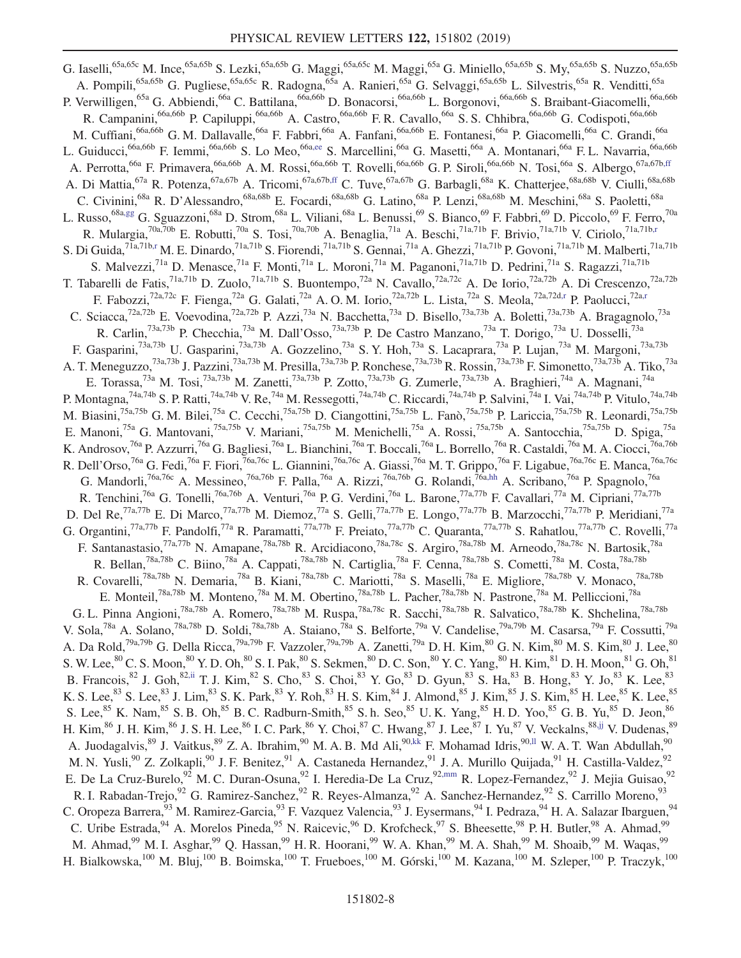<span id="page-7-7"></span><span id="page-7-6"></span><span id="page-7-5"></span><span id="page-7-4"></span><span id="page-7-3"></span><span id="page-7-2"></span><span id="page-7-1"></span><span id="page-7-0"></span>G. Iaselli,<sup>65a,65c</sup> M. Ince,<sup>65a,65b</sup> S. Lezki,<sup>65a,65b</sup> G. Maggi,<sup>65a,65c</sup> M. Maggi,<sup>65a</sup> G. Miniello,<sup>65a,65b</sup> S. My,<sup>65a,65b</sup> S. Nuzzo,<sup>65a,65b</sup> A. Pompili,<sup>65a,65b</sup> G. Pugliese,<sup>65a,65c</sup> R. Radogna,<sup>65a</sup> A. Ranieri,<sup>65a</sup> G. Selvaggi,<sup>65a,65b</sup> L. Silvestris,<sup>65a</sup> R. Venditti,<sup>65a</sup> P. Verwilligen,<sup>65a</sup> G. Abbiendi,<sup>66a</sup> C. Battilana,<sup>66a,66b</sup> D. Bonacorsi,<sup>66a,66b</sup> L. Borgonovi,<sup>66a,66b</sup> S. Braibant-Giacomelli,<sup>66a,66b</sup> R. Campanini,<sup>66a,66b</sup> P. Capiluppi,<sup>66a,66b</sup> A. Castro,<sup>66a,66b</sup> F. R. Cavallo,<sup>66a</sup> S. S. Chhibra,<sup>66a,66b</sup> G. Codispoti,<sup>66a,66b</sup> M. Cuffiani,<sup>66a,66b</sup> G. M. Dallavalle,<sup>66a</sup> F. Fabbri,<sup>66a</sup> A. Fanfani,<sup>66a,66b</sup> E. Fontanesi,<sup>66a</sup> P. Giacomelli,<sup>66a</sup> C. Grandi,<sup>66a</sup> L. Guiducci,<sup>66a,66b</sup> F. Iemmi,<sup>66a,66b</sup> S. Lo Meo,<sup>66[a,ee](#page-15-17)</sup> S. Marcellini,<sup>66a</sup> G. Masetti,<sup>66a</sup> A. Montanari,<sup>66a</sup> F. L. Navarria,<sup>66a,66b</sup> A. Perrotta,<sup>66a</sup> F. Primavera,<sup>66a,66b</sup> A. M. Rossi,<sup>66a,66b</sup> T. Rovelli,<sup>66a,66b</sup> G. P. Siroli,<sup>66a,66b</sup> N. Tosi,<sup>66a</sup> S. Albergo,<sup>67a,67[b,ff](#page-15-18)</sup> A. Di Mattia,<sup>67a</sup> R. Potenza,<sup>67a,67b</sup> A. Tricomi,<sup>67a,67b[,ff](#page-15-18)</sup> C. Tuve,<sup>67a,67b</sup> G. Barbagli,<sup>68a</sup> K. Chatterjee,<sup>68a,68b</sup> V. Ciulli,<sup>68a,68b</sup> C. Civinini,<sup>68a</sup> R. D'Alessandro,<sup>68a,68b</sup> E. Focardi,<sup>68a,68b</sup> G. Latino,<sup>68a</sup> P. Lenzi,<sup>68a,68b</sup> M. Meschini,<sup>68a</sup> S. Paoletti,<sup>68a</sup> L. Russo,<sup>68[a,gg](#page-15-19)</sup> G. Sguazzoni,<sup>68a</sup> D. Strom,<sup>68a</sup> L. Viliani,<sup>68a</sup> L. Benussi,<sup>69</sup> S. Bianco,<sup>69</sup> F. Fabbri,<sup>69</sup> D. Piccolo,<sup>69</sup> F. Ferro,<sup>70a</sup> R. Mulargia,<sup>70a,70b</sup> E. Robutti,<sup>70a</sup> S. Tosi,<sup>70a,70b</sup> A. Benaglia,<sup>71a</sup> A. Beschi,<sup>71a,71b</sup> F. Brivio,<sup>71a,71b</sup> V. Ciriolo,<sup>71a,71[b,r](#page-15-5)</sup> S. Di Guida,<sup>71a,71b[,r](#page-15-5)</sup> M. E. Dinardo,<sup>71a,71b</sup> S. Fiorendi,<sup>71a,71b</sup> S. Gennai,<sup>71a</sup> A. Ghezzi,<sup>71a,71b</sup> P. Govoni,<sup>71a,71b</sup> M. Malberti,<sup>71a,71b</sup> S. Malvezzi,<sup>71a</sup> D. Menasce,<sup>71a</sup> F. Monti,<sup>71a</sup> L. Moroni,<sup>71a</sup> M. Paganoni,<sup>71a,71b</sup> D. Pedrini,<sup>71a</sup> S. Ragazzi,<sup>71a,71b</sup> T. Tabarelli de Fatis,<sup>71a,71b</sup> D. Zuolo,<sup>71a,71b</sup> S. Buontempo,<sup>72a</sup> N. Cavallo,<sup>72a,72c</sup> A. De Iorio,<sup>72a,72b</sup> A. Di Crescenzo,<sup>72a,72b</sup> F. Fabozzi,<sup>72a,72c</sup> F. Fienga,<sup>72a</sup> G. Galati,<sup>72a</sup> A. O. M. Iorio,<sup>72a,72b</sup> L. Lista,<sup>72a</sup> S. Meola,<sup>72a,72d[,r](#page-15-5)</sup> P. Paolucci,<sup>72a,r</sup> C. Sciacca,<sup>72a,72b</sup> E. Voevodina,<sup>72a,72b</sup> P. Azzi,<sup>73a</sup> N. Bacchetta,<sup>73a</sup> D. Bisello,<sup>73a,73b</sup> A. Boletti,<sup>73a,73b</sup> A. Bragagnolo,<sup>73a</sup> R. Carlin,<sup>73a,73b</sup> P. Checchia,<sup>73a</sup> M. Dall'Osso,<sup>73a,73b</sup> P. De Castro Manzano,<sup>73a</sup> T. Dorigo,<sup>73a</sup> U. Dosselli,<sup>73a</sup> F. Gasparini,<sup>73a,73b</sup> U. Gasparini,<sup>73a,73b</sup> A. Gozzelino,<sup>73a</sup> S. Y. Hoh,<sup>73a</sup> S. Lacaprara,<sup>73a</sup> P. Lujan,<sup>73a</sup> M. Margoni,<sup>73a,73b</sup> A. T. Meneguzzo,<sup>73a,73b</sup> J. Pazzini,<sup>73a,73b</sup> M. Presilla,<sup>73a,73b</sup> P. Ronchese,<sup>73a,73b</sup> R. Rossin,<sup>73a,73b</sup> F. Simonetto,<sup>73a,73b</sup> A. Tiko,<sup>73a</sup> E. Torassa,<sup>73a</sup> M. Tosi,<sup>73a,73b</sup> M. Zanetti,<sup>73a,73b</sup> P. Zotto,<sup>73a,73b</sup> G. Zumerle,<sup>73a,73b</sup> A. Braghieri,<sup>74a</sup> A. Magnani,<sup>74a</sup> P. Montagna,<sup>74a,74b</sup> S. P. Ratti,<sup>74a,74b</sup> V. Re,<sup>74a</sup> M. Ressegotti,<sup>74a,74b</sup> C. Riccardi,<sup>74a,74b</sup> P. Salvini,<sup>74a</sup> I. Vai,<sup>74a,74b</sup> P. Vitulo,<sup>74a,74b</sup> M. Biasini,<sup>75a,75b</sup> G. M. Bilei,<sup>75a</sup> C. Cecchi,<sup>75a,75b</sup> D. Ciangottini,<sup>75a,75b</sup> L. Fanò,<sup>75a,75b</sup> P. Lariccia,<sup>75a,75b</sup> R. Leonardi,<sup>75a,75b</sup> E. Manoni,<sup>75a</sup> G. Mantovani,<sup>75a,75b</sup> V. Mariani,<sup>75a,75b</sup> M. Menichelli,<sup>75a</sup> A. Rossi,<sup>75a,75b</sup> A. Santocchia,<sup>75a,75b</sup> D. Spiga,<sup>75a</sup> K. Androsov,<sup>76a</sup> P. Azzurri,<sup>76a</sup> G. Bagliesi,<sup>76a</sup> L. Bianchini,<sup>76a</sup> T. Boccali,<sup>76a</sup> L. Borrello,<sup>76a</sup> R. Castaldi,<sup>76a</sup> M. A. Ciocci,<sup>76a,76b</sup> R. Dell'Orso,<sup>76a</sup> G. Fedi,<sup>76a</sup> F. Fiori,<sup>76a,76c</sup> L. Giannini,<sup>76a,76c</sup> A. Giassi,<sup>76a</sup> M. T. Grippo,<sup>76a</sup> F. Ligabue,<sup>76a,76c</sup> E. Manca,<sup>76a,76c</sup> G. Mandorli,<sup>76a,76c</sup> A. Messineo,<sup>76a,76b</sup> F. Palla,<sup>76a</sup> A. Rizzi,<sup>76a,76b</sup> G. Rolandi,<sup>76a[,hh](#page-15-20)</sup> A. Scribano,<sup>76a</sup> P. Spagnolo,<sup>76a</sup> R. Tenchini,<sup>76a</sup> G. Tonelli,<sup>76a,76b</sup> A. Venturi,<sup>76a</sup> P. G. Verdini,<sup>76a</sup> L. Barone,<sup>77a,77b</sup> F. Cavallari,<sup>77a</sup> M. Cipriani,<sup>77a,77b</sup> D. Del Re,<sup>77a,77b</sup> E. Di Marco,<sup>77a,77b</sup> M. Diemoz,<sup>77a</sup> S. Gelli,<sup>77a,77b</sup> E. Longo,<sup>77a,77b</sup> B. Marzocchi,<sup>77a,77b</sup> P. Meridiani,<sup>77a</sup> G. Organtini,<sup>77a,77b</sup> F. Pandolfi,<sup>77a</sup> R. Paramatti,<sup>77a,77b</sup> F. Preiato,<sup>77a,77b</sup> C. Quaranta,<sup>77a,77b</sup> S. Rahatlou,<sup>77a,77b</sup> C. Rovelli,<sup>77a</sup> F. Santanastasio,<sup>77a,77b</sup> N. Amapane,<sup>78a,78b</sup> R. Arcidiacono,<sup>78a,78c</sup> S. Argiro,<sup>78a,78b</sup> M. Arneodo,<sup>78a,78c</sup> N. Bartosik,<sup>78a</sup> R. Bellan,<sup>78a,78b</sup> C. Biino,<sup>78a</sup> A. Cappati,<sup>78a,78b</sup> N. Cartiglia,<sup>78a</sup> F. Cenna,<sup>78a,78b</sup> S. Cometti,<sup>78a</sup> M. Costa,<sup>78a,78b</sup> R. Covarelli,<sup>78a,78b</sup> N. Demaria,<sup>78a</sup> B. Kiani,<sup>78a,78b</sup> C. Mariotti,<sup>78a</sup> S. Maselli,<sup>78a</sup> E. Migliore,<sup>78a,78b</sup> V. Monaco,<sup>78a,78b</sup> E. Monteil,<sup>78a,78b</sup> M. Monteno,<sup>78a</sup> M. M. Obertino,<sup>78a,78b</sup> L. Pacher,<sup>78a,78b</sup> N. Pastrone,<sup>78a</sup> M. Pelliccioni,<sup>78a</sup> G. L. Pinna Angioni,<sup>78a,78b</sup> A. Romero,<sup>78a,78b</sup> M. Ruspa,<sup>78a,78c</sup> R. Sacchi,<sup>78a,78b</sup> R. Salvatico,<sup>78a,78b</sup> K. Shchelina,<sup>78a,78b</sup> V. Sola,<sup>78a</sup> A. Solano,<sup>78a,78b</sup> D. Soldi,<sup>78a,78b</sup> A. Staiano,<sup>78a</sup> S. Belforte,<sup>79a</sup> V. Candelise,<sup>79a,79b</sup> M. Casarsa,<sup>79a</sup> F. Cossutti,<sup>79a</sup> A. Da Rold,<sup>79a,79b</sup> G. Della Ricca,<sup>79a,79b</sup> F. Vazzoler,<sup>79a,79b</sup> A. Zanetti,<sup>79a</sup> D. H. Kim,<sup>80</sup> G. N. Kim,<sup>80</sup> M. S. Kim,<sup>80</sup> J. Lee,<sup>80</sup> S. W. Lee,  ${}^{80}$  C. S. Moon,  ${}^{80}$  Y. D. Oh,  ${}^{80}$  S. I. Pak,  ${}^{80}$  S. Sekmen,  ${}^{80}$  D. C. Son,  ${}^{80}$  Y. C. Yang,  ${}^{80}$  H. Kim,  ${}^{81}$  D. H. Moon,  ${}^{81}$  G. Oh,  ${}^{81}$ B. Francois,  $82$  J. Goh,  $82,$ ii T. J. Kim,  $82$  S. Cho,  $83$  S. Choi,  $83$  Y. Go,  $83$  D. Gyun,  $83$  S. Ha,  $83$  B. Hong,  $83$  Y. Jo,  $83$  K. Lee,  $83$ K. S. Lee, $^{83}$  S. Lee, $^{83}$  J. Lim, $^{83}$  S. K. Park, $^{83}$  Y. Roh, $^{83}$  H. S. Kim, $^{84}$  J. Almond, $^{85}$  J. Kim, $^{85}$  J. S. Kim, $^{85}$  H. Lee, $^{85}$  K. Lee, $^{85}$ S. Lee,  ${}^{85}$  K. Nam,  ${}^{85}$  S. B. Oh,  ${}^{85}$  B. C. Radburn-Smith,  ${}^{85}$  S. h. Seo,  ${}^{85}$  U. K. Yang,  ${}^{85}$  H. D. Yoo,  ${}^{85}$  G. B. Yu,  ${}^{85}$  D. Jeon,  ${}^{86}$ H. Kim,  $86$  J. H. Kim,  $86$  J. S. H. Lee,  $86$  I. C. Park,  $86$  Y. Choi,  $87$  C. Hwang,  $87$  J. Lee,  $87$  I. Yu,  $87$  V. Veckalns,  $88,ij$  V. Dudenas,  $89$ A. Juodagalvis,<sup>89</sup> J. Vaitkus,<sup>89</sup> Z. A. Ibrahim,<sup>90</sup> M. A. B. Md Ali,<sup>9[0,kk](#page-15-23)</sup> F. Mohamad Idris,<sup>90[,ll](#page-15-24)</sup> W. A. T. Wan Abdullah,<sup>90</sup> M. N. Yusli,<sup>90</sup> Z. Zolkapli,<sup>90</sup> J. F. Benitez,<sup>91</sup> A. Castaneda Hernandez,<sup>91</sup> J. A. Murillo Quijada,<sup>91</sup> H. Castilla-Valdez,<sup>92</sup> E. De La Cruz-Burelo,<sup>92</sup> M. C. Duran-Osuna,<sup>92</sup> I. Heredia-De La Cruz,<sup>9[2,mm](#page-15-25)</sup> R. Lopez-Fernandez,<sup>92</sup> J. Mejia Guisao,<sup>92</sup> R. I. Rabadan-Trejo,<sup>92</sup> G. Ramirez-Sanchez,<sup>92</sup> R. Reyes-Almanza,<sup>92</sup> A. Sanchez-Hernandez,<sup>92</sup> S. Carrillo Moreno,<sup>93</sup> C. Oropeza Barrera,<sup>93</sup> M. Ramirez-Garcia,<sup>93</sup> F. Vazquez Valencia,<sup>93</sup> J. Eysermans,<sup>94</sup> I. Pedraza,<sup>94</sup> H. A. Salazar Ibarguen,<sup>94</sup> C. Uribe Estrada, <sup>94</sup> A. Morelos Pineda, <sup>95</sup> N. Raicevic, <sup>96</sup> D. Krofcheck, <sup>97</sup> S. Bheesette, <sup>98</sup> P. H. Butler, <sup>98</sup> A. Ahmad, <sup>99</sup> M. Ahmad, $^{99}$  M. I. Asghar, $^{99}$  Q. Hassan, $^{99}$  H. R. Hoorani, $^{99}$  W. A. Khan, $^{99}$  M. A. Shah, $^{99}$  M. Shoaib, $^{99}$  M. Waqas, $^{99}$ H. Bialkowska,<sup>100</sup> M. Bluj,<sup>100</sup> B. Boimska,<sup>100</sup> T. Frueboes,<sup>100</sup> M. Górski,<sup>100</sup> M. Kazana,<sup>100</sup> M. Szleper,<sup>100</sup> P. Traczyk,<sup>100</sup>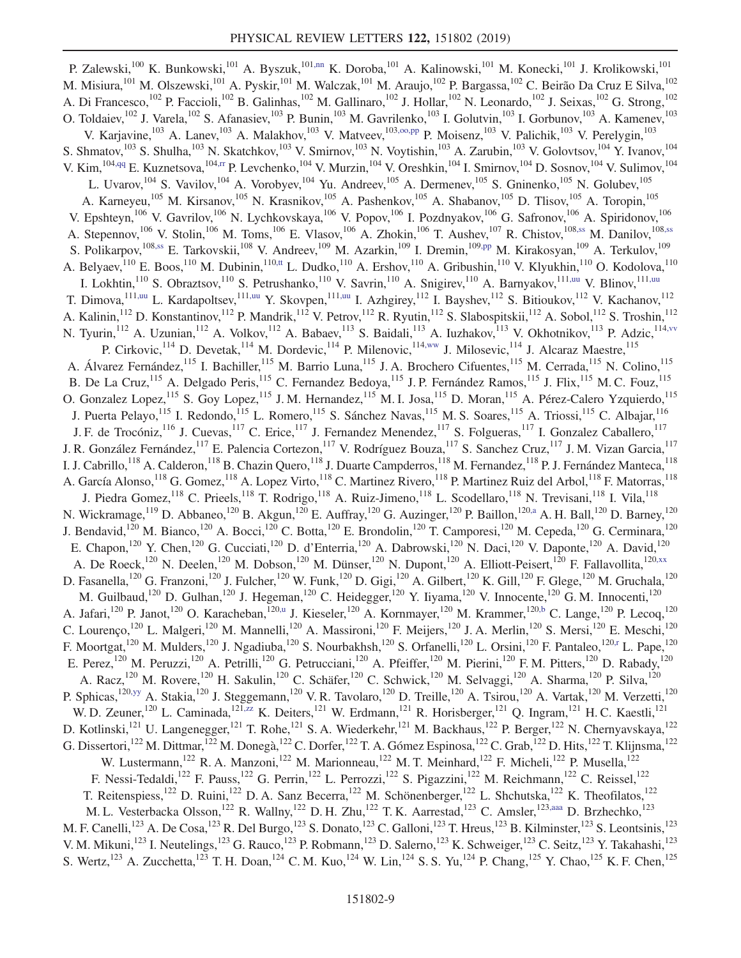<span id="page-8-11"></span><span id="page-8-10"></span><span id="page-8-9"></span><span id="page-8-8"></span><span id="page-8-7"></span><span id="page-8-6"></span><span id="page-8-5"></span><span id="page-8-4"></span><span id="page-8-3"></span><span id="page-8-2"></span><span id="page-8-1"></span><span id="page-8-0"></span>P. Zalewski,<sup>100</sup> K. Bunkowski,<sup>101</sup> A. Byszuk,<sup>10[1,nn](#page-15-26)</sup> K. Doroba,<sup>101</sup> A. Kalinowski,<sup>101</sup> M. Konecki,<sup>101</sup> J. Krolikowski,<sup>101</sup> M. Misiura,<sup>101</sup> M. Olszewski,<sup>101</sup> A. Pyskir,<sup>101</sup> M. Walczak,<sup>101</sup> M. Araujo,<sup>102</sup> P. Bargassa,<sup>102</sup> C. Beirão Da Cruz E Silva,<sup>102</sup> A. Di Francesco,<sup>102</sup> P. Faccioli,<sup>102</sup> B. Galinhas,<sup>102</sup> M. Gallinaro,<sup>102</sup> J. Hollar,<sup>102</sup> N. Leonardo,<sup>102</sup> J. Seixas,<sup>102</sup> G. Strong,<sup>102</sup> O. Toldaiev,  $^{102}$  J. Varela,  $^{102}$  S. Afanasiev,  $^{103}$  P. Bunin,  $^{103}$  M. Gavrilenko,  $^{103}$  I. Golutvin,  $^{103}$  I. Gorbunov,  $^{103}$  A. Kamenev,  $^{103}$ V. Karjavine,<sup>103</sup> A. Lanev,<sup>103</sup> A. Malakhov,<sup>103</sup> V. Matveev,<sup>103[,oo,pp](#page-15-27)</sup> P. Moisenz,<sup>103</sup> V. Palichik,<sup>103</sup> V. Perelygin,<sup>103</sup> S. Shmatov,  $^{103}$  S. Shulha,  $^{103}$  N. Skatchkov,  $^{103}$  V. Smirnov,  $^{103}$  N. Voytishin,  $^{103}$  A. Zarubin,  $^{103}$  V. Golovtsov,  $^{104}$  Y. Ivanov,  $^{104}$ V. Kim, <sup>10[4,qq](#page-15-28)</sup> E. Kuznetsova, <sup>104[,rr](#page-15-29)</sup> P. Levchenko, <sup>104</sup> V. Murzin, <sup>104</sup> V. Oreshkin, <sup>104</sup> I. Smirnov, <sup>104</sup> D. Sosnov, <sup>104</sup> V. Sulimov, <sup>104</sup> L. Uvarov, $104$  S. Vavilov, $104$  A. Vorobyev, $104$  Yu. Andreev, $105$  A. Dermenev, $105$  S. Gninenko, $105$  N. Golubev, $105$ A. Karneyeu,<sup>105</sup> M. Kirsanov,<sup>105</sup> N. Krasnikov,<sup>105</sup> A. Pashenkov,<sup>105</sup> A. Shabanov,<sup>105</sup> D. Tlisov,<sup>105</sup> A. Toropin,<sup>105</sup> V. Epshteyn,<sup>106</sup> V. Gavrilov,<sup>106</sup> N. Lychkovskaya,<sup>106</sup> V. Popov,<sup>106</sup> I. Pozdnyakov,<sup>106</sup> G. Safronov,<sup>106</sup> A. Spiridonov,<sup>106</sup> A. Stepennov,<sup>106</sup> V. Stolin,<sup>106</sup> M. Toms,<sup>106</sup> E. Vlasov,<sup>106</sup> A. Zhokin,<sup>106</sup> T. Aushev,<sup>107</sup> R. Chistov,<sup>108[,ss](#page-15-30)</sup> M. Danilov,<sup>10[8,ss](#page-15-30)</sup> S. Polikarpov,<sup>10[8,ss](#page-15-30)</sup> E. Tarkovskii,<sup>108</sup> V. Andreev,<sup>109</sup> M. Azarkin,<sup>109</sup> I. Dremin,<sup>10[9,pp](#page-15-31)</sup> M. Kirakosyan,<sup>109</sup> A. Terkulov,<sup>109</sup> A. Belyaev,  $^{110}$  E. Boos,  $^{110}$  M. Dubinin,  $^{110,tt}$  $^{110,tt}$  $^{110,tt}$  L. Dudko,  $^{110}$  A. Ershov,  $^{110}$  A. Gribushin,  $^{110}$  V. Klyukhin,  $^{110}$  O. Kodolova,  $^{110}$ I. Lokhtin,<sup>110</sup> S. Obraztsov,<sup>110</sup> S. Petrushanko,<sup>110</sup> V. Savrin,<sup>110</sup> A. Snigirev,<sup>110</sup> A. Barnyakov,<sup>111[,uu](#page-15-33)</sup> V. Blinov,<sup>111,uu</sup> T. Dimova, <sup>11[1,uu](#page-15-33)</sup> L. Kardapoltsev, <sup>111,uu</sup> Y. Skovpen, <sup>111,uu</sup> I. Azhgirey, <sup>112</sup> I. Bayshev, <sup>112</sup> S. Bitioukov, <sup>112</sup> V. Kachanov, <sup>112</sup> A. Kalinin,<sup>112</sup> D. Konstantinov,<sup>112</sup> P. Mandrik,<sup>112</sup> V. Petrov,<sup>112</sup> R. Ryutin,<sup>112</sup> S. Slabospitskii,<sup>112</sup> A. Sobol,<sup>112</sup> S. Troshin,<sup>112</sup> N. Tyurin,<sup>112</sup> A. Uzunian,<sup>112</sup> A. Volkov,<sup>112</sup> A. Babaev,<sup>113</sup> S. Baidali,<sup>113</sup> A. Iuzhakov,<sup>113</sup> V. Okhotnikov,<sup>113</sup> P. Adzic,<sup>114, vv</sup> P. Cirkovic, <sup>114</sup> D. Devetak, <sup>114</sup> M. Dordevic, <sup>114</sup> P. Milenovic, <sup>11[4,ww](#page-15-35)</sup> J. Milosevic, <sup>114</sup> J. Alcaraz Maestre, <sup>115</sup> A. Álvarez Fernández,<sup>115</sup> I. Bachiller,<sup>115</sup> M. Barrio Luna,<sup>115</sup> J. A. Brochero Cifuentes,<sup>115</sup> M. Cerrada,<sup>115</sup> N. Colino,<sup>115</sup> B. De La Cruz,<sup>115</sup> A. Delgado Peris,<sup>115</sup> C. Fernandez Bedoya,<sup>115</sup> J. P. Fernández Ramos,<sup>115</sup> J. Flix,<sup>115</sup> M. C. Fouz,<sup>115</sup> O. Gonzalez Lopez,<sup>115</sup> S. Goy Lopez,<sup>115</sup> J. M. Hernandez,<sup>115</sup> M. I. Josa,<sup>115</sup> D. Moran,<sup>115</sup> A. Pérez-Calero Yzquierdo,<sup>115</sup> J. Puerta Pelayo,<sup>115</sup> I. Redondo,<sup>115</sup> L. Romero,<sup>115</sup> S. Sánchez Navas,<sup>115</sup> M. S. Soares,<sup>115</sup> A. Triossi,<sup>115</sup> C. Albajar,<sup>116</sup> J. F. de Trocóniz,<sup>116</sup> J. Cuevas,<sup>117</sup> C. Erice,<sup>117</sup> J. Fernandez Menendez,<sup>117</sup> S. Folgueras,<sup>117</sup> I. Gonzalez Caballero,<sup>117</sup> J. R. González Fernández, <sup>117</sup> E. Palencia Cortezon, <sup>117</sup> V. Rodríguez Bouza, <sup>117</sup> S. Sanchez Cruz, <sup>117</sup> J. M. Vizan Garcia, <sup>117</sup> I. J. Cabrillo,<sup>118</sup> A. Calderon,<sup>118</sup> B. Chazin Quero,<sup>118</sup> J. Duarte Campderros,<sup>118</sup> M. Fernandez,<sup>118</sup> P. J. Fernández Manteca,<sup>118</sup> A. García Alonso,<sup>118</sup> G. Gomez,<sup>118</sup> A. Lopez Virto,<sup>118</sup> C. Martinez Rivero,<sup>118</sup> P. Martinez Ruiz del Arbol,<sup>118</sup> F. Matorras,<sup>118</sup> J. Piedra Gomez,<sup>118</sup> C. Prieels,<sup>118</sup> T. Rodrigo,<sup>118</sup> A. Ruiz-Jimeno,<sup>118</sup> L. Scodellaro,<sup>118</sup> N. Trevisani,<sup>118</sup> I. Vila,<sup>118</sup> N. Wickramage,<sup>119</sup> D. Abbaneo,<sup>120</sup> B. Akgun,<sup>120</sup> E. Auffray,<sup>120</sup> G. Auzinger,<sup>120</sup> P. Baillon,<sup>12[0,a](#page-14-10)</sup> A. H. Ball,<sup>120</sup> D. Barney,<sup>120</sup> J. Bendavid,<sup>120</sup> M. Bianco,<sup>120</sup> A. Bocci,<sup>120</sup> C. Botta,<sup>120</sup> E. Brondolin,<sup>120</sup> T. Camporesi,<sup>120</sup> M. Cepeda,<sup>120</sup> G. Cerminara,<sup>120</sup> E. Chapon,<sup>120</sup> Y. Chen,<sup>120</sup> G. Cucciati,<sup>120</sup> D. d'Enterria,<sup>120</sup> A. Dabrowski,<sup>120</sup> N. Daci,<sup>120</sup> V. Daponte,<sup>120</sup> A. David,<sup>120</sup> A. De Roeck,<sup>120</sup> N. Deelen,<sup>120</sup> M. Dobson,<sup>120</sup> M. Dünser,<sup>120</sup> N. Dupont,<sup>120</sup> A. Elliott-Peisert,<sup>120</sup> F. Fallavollita,<sup>12[0,xx](#page-15-36)</sup> D. Fasanella,<sup>120</sup> G. Franzoni,<sup>120</sup> J. Fulcher,<sup>120</sup> W. Funk,<sup>120</sup> D. Gigi,<sup>120</sup> A. Gilbert,<sup>120</sup> K. Gill,<sup>120</sup> F. Glege,<sup>120</sup> M. Gruchala,<sup>120</sup> M. Guilbaud,<sup>120</sup> D. Gulhan,<sup>120</sup> J. Hegeman,<sup>120</sup> C. Heidegger,<sup>120</sup> Y. Iiyama,<sup>120</sup> V. Innocente,<sup>120</sup> G. M. Innocenti,<sup>120</sup> A. Jafari,<sup>120</sup> P. Janot,<sup>120</sup> O. Karacheban,<sup>120[,u](#page-15-8)</sup> J. Kieseler,<sup>120</sup> A. Kornmayer,<sup>120</sup> M. Krammer,<sup>12[0,b](#page-14-0)</sup> C. Lange,<sup>120</sup> P. Lecoq,<sup>120</sup> C. Lourenço,<sup>120</sup> L. Malgeri,<sup>120</sup> M. Mannelli,<sup>120</sup> A. Massironi,<sup>120</sup> F. Meijers,<sup>120</sup> J. A. Merlin,<sup>120</sup> S. Mersi,<sup>120</sup> E. Meschi,<sup>120</sup> F. Moortgat,<sup>120</sup> M. Mulders,<sup>120</sup> J. Ngadiuba,<sup>120</sup> S. Nourbakhsh,<sup>120</sup> S. Orfanelli,<sup>120</sup> L. Orsini,<sup>120</sup> F. Pantaleo,<sup>120[,r](#page-15-5)</sup> L. Pape,<sup>120</sup> E. Perez,<sup>120</sup> M. Peruzzi,<sup>120</sup> A. Petrilli,<sup>120</sup> G. Petrucciani,<sup>120</sup> A. Pfeiffer,<sup>120</sup> M. Pierini,<sup>120</sup> F. M. Pitters,<sup>120</sup> D. Rabady,<sup>120</sup> A. Racz,<sup>120</sup> M. Rovere,<sup>120</sup> H. Sakulin,<sup>120</sup> C. Schäfer,<sup>120</sup> C. Schwick,<sup>120</sup> M. Selvaggi,<sup>120</sup> A. Sharma,<sup>120</sup> P. Silva,<sup>120</sup> P. Sphicas,<sup>12[0,yy](#page-15-37)</sup> A. Stakia,<sup>120</sup> J. Steggemann,<sup>120</sup> V. R. Tavolaro,<sup>120</sup> D. Treille,<sup>120</sup> A. Tsirou,<sup>120</sup> A. Vartak,<sup>120</sup> M. Verzetti,<sup>120</sup> W. D. Zeuner,<sup>120</sup> L. Caminada,<sup>121[,zz](#page-15-38)</sup> K. Deiters,<sup>121</sup> W. Erdmann,<sup>121</sup> R. Horisberger,<sup>121</sup> Q. Ingram,<sup>121</sup> H. C. Kaestli,<sup>121</sup> D. Kotlinski,<sup>121</sup> U. Langenegger,<sup>121</sup> T. Rohe,<sup>121</sup> S. A. Wiederkehr,<sup>121</sup> M. Backhaus,<sup>122</sup> P. Berger,<sup>122</sup> N. Chernyavskaya,<sup>122</sup> G. Dissertori, <sup>122</sup> M. Dittmar, <sup>122</sup> M. Donegà, <sup>122</sup> C. Dorfer, <sup>122</sup> T. A. Gómez Espinosa, <sup>122</sup> C. Grab, <sup>122</sup> D. Hits, <sup>122</sup> T. Klijnsma, <sup>122</sup> W. Lustermann,<sup>122</sup> R. A. Manzoni,<sup>122</sup> M. Marionneau,<sup>122</sup> M. T. Meinhard,<sup>122</sup> F. Micheli,<sup>122</sup> P. Musella,<sup>122</sup> F. Nessi-Tedaldi,<sup>122</sup> F. Pauss,<sup>122</sup> G. Perrin,<sup>122</sup> L. Perrozzi,<sup>122</sup> S. Pigazzini,<sup>122</sup> M. Reichmann,<sup>122</sup> C. Reissel,<sup>122</sup> T. Reitenspiess,<sup>122</sup> D. Ruini,<sup>122</sup> D. A. Sanz Becerra,<sup>122</sup> M. Schönenberger,<sup>122</sup> L. Shchutska,<sup>122</sup> K. Theofilatos,<sup>122</sup> M. L. Vesterbacka Olsson,<sup>122</sup> R. Wallny,<sup>122</sup> D. H. Zhu,<sup>122</sup> T. K. Aarrestad,<sup>123</sup> C. Amsler,<sup>12[3,aaa](#page-15-39)</sup> D. Brzhechko,<sup>123</sup> M. F. Canelli,<sup>123</sup> A. De Cosa,<sup>123</sup> R. Del Burgo,<sup>123</sup> S. Donato,<sup>123</sup> C. Galloni,<sup>123</sup> T. Hreus,<sup>123</sup> B. Kilminster,<sup>123</sup> S. Leontsinis,<sup>123</sup> V. M. Mikuni,<sup>123</sup> I. Neutelings,<sup>123</sup> G. Rauco,<sup>123</sup> P. Robmann,<sup>123</sup> D. Salerno,<sup>123</sup> K. Schweiger,<sup>123</sup> C. Seitz,<sup>123</sup> Y. Takahashi,<sup>123</sup> S. Wertz, <sup>123</sup> A. Zucchetta,<sup>123</sup> T. H. Doan,<sup>124</sup> C. M. Kuo,<sup>124</sup> W. Lin,<sup>124</sup> S. S. Yu,<sup>124</sup> P. Chang,<sup>125</sup> Y. Chao,<sup>125</sup> K. F. Chen,<sup>125</sup>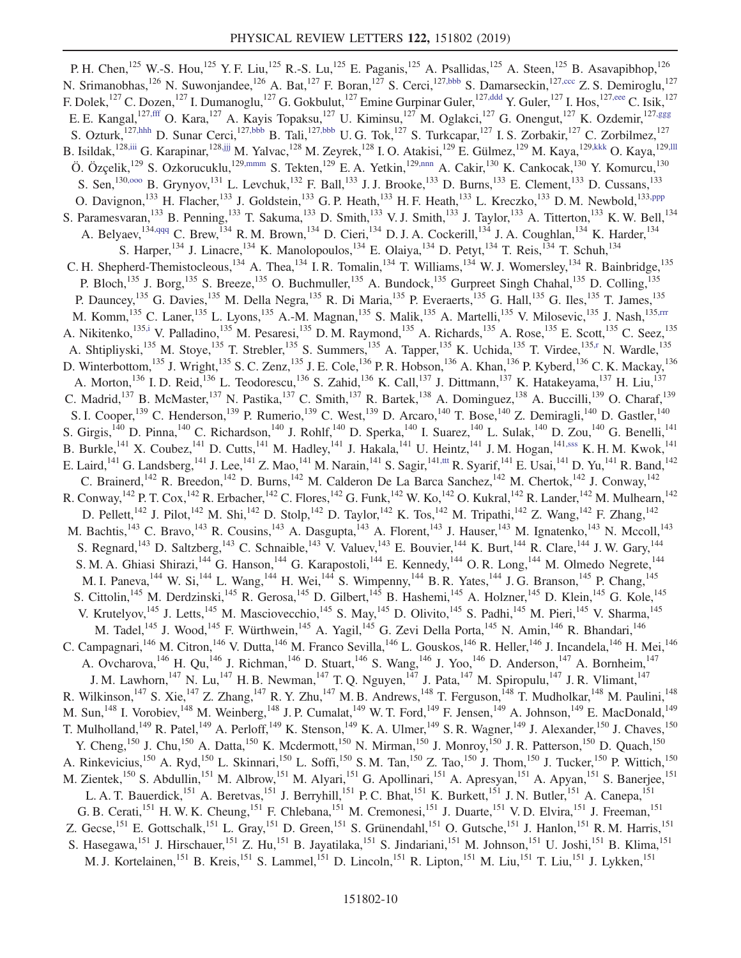<span id="page-9-11"></span><span id="page-9-10"></span><span id="page-9-9"></span><span id="page-9-8"></span><span id="page-9-7"></span><span id="page-9-6"></span><span id="page-9-5"></span><span id="page-9-4"></span><span id="page-9-3"></span><span id="page-9-2"></span><span id="page-9-1"></span><span id="page-9-0"></span>P. H. Chen,<sup>125</sup> W.-S. Hou,<sup>125</sup> Y. F. Liu,<sup>125</sup> R.-S. Lu,<sup>125</sup> E. Paganis,<sup>125</sup> A. Psallidas,<sup>125</sup> A. Steen,<sup>125</sup> B. Asavapibhop,<sup>126</sup> N. Srimanobhas,<sup>126</sup> N. Suwonjandee,<sup>126</sup> A. Bat,<sup>127</sup> F. Boran,<sup>127</sup> S. Cerci,<sup>127[,bbb](#page-15-40)</sup> S. Damarseckin,<sup>12[7,ccc](#page-15-41)</sup> Z. S. Demiroglu,<sup>127</sup> F. Dolek,<sup>127</sup> C. Dozen,<sup>127</sup> I. Dumanoglu,<sup>127</sup> G. Gokbulut,<sup>127</sup> Emine Gurpinar Guler,<sup>12[7,ddd](#page-15-42)</sup> Y. Guler,<sup>127</sup> I. Hos,<sup>12[7,eee](#page-15-43)</sup> C. Isik,<sup>127</sup> E. E. Kangal,<sup>12[7,fff](#page-15-44)</sup> O. Kara,<sup>127</sup> A. Kayis Topaksu,<sup>127</sup> U. Kiminsu,<sup>127</sup> M. Oglakci,<sup>127</sup> G. Onengut,<sup>127</sup> K. Ozdemir,<sup>12[7,ggg](#page-15-45)</sup> S. Ozturk,<sup>127[,hhh](#page-15-46)</sup> D. Sunar Cerci,<sup>12[7,bbb](#page-15-40)</sup> B. Tali,<sup>127[,bbb](#page-15-40)</sup> U. G. Tok,<sup>127</sup> S. Turkcapar,<sup>127</sup> I. S. Zorbakir,<sup>127</sup> C. Zorbilmez,<sup>127</sup> B. Isildak,<sup>128[,iii](#page-15-47)</sup> G. Karapinar,<sup>128,iii</sup> M. Yalvac,<sup>128</sup> M. Zeyrek,<sup>128</sup> I. O. Atakisi,<sup>129</sup> E. Gülmez,<sup>129</sup> M. Kaya,<sup>12[9,kkk](#page-15-49)</sup> O. Kaya,<sup>12[9,lll](#page-15-50)</sup> Ö. Özçelik,<sup>129</sup> S. Ozkorucuklu,<sup>129[,mmm](#page-15-51)</sup> S. Tekten,<sup>129</sup> E. A. Yetkin,<sup>12[9,nnn](#page-15-52)</sup> A. Cakir,<sup>130</sup> K. Cankocak,<sup>130</sup> Y. Komurcu,<sup>130</sup> S. Sen,<sup>130,000</sup> B. Grynyov,<sup>131</sup> L. Levchuk,<sup>132</sup> F. Ball,<sup>133</sup> J. J. Brooke,<sup>133</sup> D. Burns,<sup>133</sup> E. Clement,<sup>133</sup> D. Cussans,<sup>133</sup> O. Davignon,<sup>133</sup> H. Flacher,<sup>133</sup> J. Goldstein,<sup>133</sup> G. P. Heath,<sup>133</sup> H. F. Heath,<sup>133</sup> L. Kreczko,<sup>133</sup> D. M. Newbold,<sup>13[3,ppp](#page-15-54)</sup> S. Paramesvaran,<sup>133</sup> B. Penning,<sup>133</sup> T. Sakuma,<sup>133</sup> D. Smith,<sup>133</sup> V. J. Smith,<sup>133</sup> J. Taylor,<sup>133</sup> A. Titterton,<sup>133</sup> K. W. Bell,<sup>134</sup> A. Belyaev,  $^{134,qqq}$  $^{134,qqq}$  $^{134,qqq}$  C. Brew,  $^{134}$  R. M. Brown,  $^{134}$  D. Cieri,  $^{134}$  D. J. A. Cockerill,  $^{134}$  J. A. Coughlan,  $^{134}$  K. Harder,  $^{134}$ S. Harper,<sup>134</sup> J. Linacre,<sup>134</sup> K. Manolopoulos,<sup>134</sup> E. Olaiya,<sup>134</sup> D. Petyt,<sup>134</sup> T. Reis,<sup>134</sup> T. Schuh,<sup>134</sup> C. H. Shepherd-Themistocleous,<sup>134</sup> A. Thea,<sup>134</sup> I. R. Tomalin,<sup>134</sup> T. Williams,<sup>134</sup> W. J. Womersley,<sup>134</sup> R. Bainbridge,<sup>135</sup> P. Bloch,<sup>135</sup> J. Borg,<sup>135</sup> S. Breeze,<sup>135</sup> O. Buchmuller,<sup>135</sup> A. Bundock,<sup>135</sup> Gurpreet Singh Chahal,<sup>135</sup> D. Colling,<sup>135</sup> P. Dauncey,<sup>135</sup> G. Davies,<sup>135</sup> M. Della Negra,<sup>135</sup> R. Di Maria,<sup>135</sup> P. Everaerts,<sup>135</sup> G. Hall,<sup>135</sup> G. Iles,<sup>135</sup> T. James,<sup>135</sup> M. Komm,<sup>135</sup> C. Laner,<sup>135</sup> L. Lyons,<sup>135</sup> A.-M. Magnan,<sup>135</sup> S. Malik,<sup>135</sup> A. Martelli,<sup>135</sup> V. Milosevic,<sup>135</sup> J. Nash,<sup>135[,rrr](#page-15-56)</sup> A. Nikitenko,<sup>13[5,i](#page-14-7)</sup> V. Palladino,<sup>135</sup> M. Pesaresi,<sup>135</sup> D. M. Raymond,<sup>135</sup> A. Richards,<sup>135</sup> A. Rose,<sup>135</sup> E. Scott,<sup>135</sup> C. Seez,<sup>135</sup> A. Shtipliyski,<sup>135</sup> M. Stoye,<sup>135</sup> T. Strebler,<sup>135</sup> S. Summers,<sup>135</sup> A. Tapper,<sup>135</sup> K. Uchida,<sup>135</sup> T. Virdee,<sup>135[,r](#page-15-5)</sup> N. Wardle,<sup>135</sup> D. Winterbottom,  $^{135}$  J. Wright,  $^{135}$  S. C. Zenz,  $^{135}$  J. E. Cole,  $^{136}$  P. R. Hobson,  $^{136}$  A. Khan,  $^{136}$  P. Kyberd,  $^{136}$  C. K. Mackay,  $^{136}$ A. Morton,<sup>136</sup> I. D. Reid,<sup>136</sup> L. Teodorescu,<sup>136</sup> S. Zahid,<sup>136</sup> K. Call,<sup>137</sup> J. Dittmann,<sup>137</sup> K. Hatakeyama,<sup>137</sup> H. Liu,<sup>137</sup> C. Madrid,<sup>137</sup> B. McMaster,<sup>137</sup> N. Pastika,<sup>137</sup> C. Smith,<sup>137</sup> R. Bartek,<sup>138</sup> A. Dominguez,<sup>138</sup> A. Buccilli,<sup>139</sup> O. Charaf,<sup>139</sup> S. I. Cooper,<sup>139</sup> C. Henderson,<sup>139</sup> P. Rumerio,<sup>139</sup> C. West,<sup>139</sup> D. Arcaro,<sup>140</sup> T. Bose,<sup>140</sup> Z. Demiragli,<sup>140</sup> D. Gastler,<sup>140</sup> S. Girgis,<sup>140</sup> D. Pinna,<sup>140</sup> C. Richardson,<sup>140</sup> J. Rohlf,<sup>140</sup> D. Sperka,<sup>140</sup> I. Suarez,<sup>140</sup> L. Sulak,<sup>140</sup> D. Zou,<sup>140</sup> G. Benelli,<sup>141</sup> B. Burkle,<sup>141</sup> X. Coubez,<sup>141</sup> D. Cutts,<sup>141</sup> M. Hadley,<sup>141</sup> J. Hakala,<sup>141</sup> U. Heintz,<sup>141</sup> J. M. Hogan,<sup>141[,sss](#page-15-57)</sup> K. H. M. Kwok,<sup>141</sup> E. Laird,<sup>141</sup> G. Landsberg,<sup>141</sup> J. Lee,<sup>141</sup> Z. Mao,<sup>141</sup> M. Narain,<sup>141</sup> S. Sagir,<sup>141[,ttt](#page-16-0)</sup> R. Syarif,<sup>141</sup> E. Usai,<sup>141</sup> D. Yu,<sup>141</sup> R. Band,<sup>142</sup> C. Brainerd,<sup>142</sup> R. Breedon,<sup>142</sup> D. Burns,<sup>142</sup> M. Calderon De La Barca Sanchez,<sup>142</sup> M. Chertok,<sup>142</sup> J. Conway,<sup>142</sup> R. Conway,  $^{142}$  P. T. Cox,  $^{142}$  R. Erbacher,  $^{142}$  C. Flores,  $^{142}$  G. Funk,  $^{142}$  W. Ko,  $^{142}$  O. Kukral,  $^{142}$  R. Lander,  $^{142}$  M. Mulhearn,  $^{142}$ D. Pellett,<sup>142</sup> J. Pilot,<sup>142</sup> M. Shi,<sup>142</sup> D. Stolp,<sup>142</sup> D. Taylor,<sup>142</sup> K. Tos,<sup>142</sup> M. Tripathi,<sup>142</sup> Z. Wang,<sup>142</sup> F. Zhang,<sup>142</sup> M. Bachtis,<sup>143</sup> C. Bravo,<sup>143</sup> R. Cousins,<sup>143</sup> A. Dasgupta,<sup>143</sup> A. Florent,<sup>143</sup> J. Hauser,<sup>143</sup> M. Ignatenko,<sup>143</sup> N. Mccoll,<sup>143</sup> S. Regnard,<sup>143</sup> D. Saltzberg,<sup>143</sup> C. Schnaible,<sup>143</sup> V. Valuev,<sup>143</sup> E. Bouvier,<sup>144</sup> K. Burt,<sup>144</sup> R. Clare,<sup>144</sup> J. W. Gary,<sup>144</sup> S. M. A. Ghiasi Shirazi,<sup>144</sup> G. Hanson,<sup>144</sup> G. Karapostoli,<sup>144</sup> E. Kennedy,<sup>144</sup> O. R. Long,<sup>144</sup> M. Olmedo Negrete,<sup>144</sup> M. I. Paneva,<sup>144</sup> W. Si,<sup>144</sup> L. Wang,<sup>144</sup> H. Wei,<sup>144</sup> S. Wimpenny,<sup>144</sup> B. R. Yates,<sup>144</sup> J. G. Branson,<sup>145</sup> P. Chang,<sup>145</sup> S. Cittolin,<sup>145</sup> M. Derdzinski,<sup>145</sup> R. Gerosa,<sup>145</sup> D. Gilbert,<sup>145</sup> B. Hashemi,<sup>145</sup> A. Holzner,<sup>145</sup> D. Klein,<sup>145</sup> G. Kole,<sup>145</sup> V. Krutelyov,<sup>145</sup> J. Letts,<sup>145</sup> M. Masciovecchio,<sup>145</sup> S. May,<sup>145</sup> D. Olivito,<sup>145</sup> S. Padhi,<sup>145</sup> M. Pieri,<sup>145</sup> V. Sharma,<sup>145</sup> M. Tadel,<sup>145</sup> J. Wood,<sup>145</sup> F. Würthwein,<sup>145</sup> A. Yagil,<sup>145</sup> G. Zevi Della Porta,<sup>145</sup> N. Amin,<sup>146</sup> R. Bhandari,<sup>146</sup> C. Campagnari,<sup>146</sup> M. Citron,<sup>146</sup> V. Dutta,<sup>146</sup> M. Franco Sevilla,<sup>146</sup> L. Gouskos,<sup>146</sup> R. Heller,<sup>146</sup> J. Incandela,<sup>146</sup> H. Mei,<sup>146</sup> A. Ovcharova,  $^{146}$  H. Qu,  $^{146}$  J. Richman,  $^{146}$  D. Stuart,  $^{146}$  S. Wang,  $^{146}$  J. Yoo,  $^{146}$  D. Anderson,  $^{147}$  A. Bornheim,  $^{147}$ J. M. Lawhorn,<sup>147</sup> N. Lu,<sup>147</sup> H. B. Newman,<sup>147</sup> T. Q. Nguyen,<sup>147</sup> J. Pata,<sup>147</sup> M. Spiropulu,<sup>147</sup> J. R. Vlimant,<sup>147</sup> R. Wilkinson,<sup>147</sup> S. Xie,<sup>147</sup> Z. Zhang,<sup>147</sup> R. Y. Zhu,<sup>147</sup> M. B. Andrews,<sup>148</sup> T. Ferguson,<sup>148</sup> T. Mudholkar,<sup>148</sup> M. Paulini,<sup>148</sup> M. Sun,<sup>148</sup> I. Vorobiev,<sup>148</sup> M. Weinberg,<sup>148</sup> J. P. Cumalat,<sup>149</sup> W. T. Ford,<sup>149</sup> F. Jensen,<sup>149</sup> A. Johnson,<sup>149</sup> E. MacDonald,<sup>149</sup> T. Mulholland,<sup>149</sup> R. Patel,<sup>149</sup> A. Perloff,<sup>149</sup> K. Stenson,<sup>149</sup> K. A. Ulmer,<sup>149</sup> S. R. Wagner,<sup>149</sup> J. Alexander,<sup>150</sup> J. Chaves,<sup>150</sup> Y. Cheng,<sup>150</sup> J. Chu,<sup>150</sup> A. Datta,<sup>150</sup> K. Mcdermott,<sup>150</sup> N. Mirman,<sup>150</sup> J. Monroy,<sup>150</sup> J. R. Patterson,<sup>150</sup> D. Quach,<sup>150</sup> A. Rinkevicius,<sup>150</sup> A. Ryd,<sup>150</sup> L. Skinnari,<sup>150</sup> L. Soffi,<sup>150</sup> S. M. Tan,<sup>150</sup> Z. Tao,<sup>150</sup> J. Thom,<sup>150</sup> J. Tucker,<sup>150</sup> P. Wittich,<sup>150</sup> M. Zientek,<sup>150</sup> S. Abdullin,<sup>151</sup> M. Albrow,<sup>151</sup> M. Alyari,<sup>151</sup> G. Apollinari,<sup>151</sup> A. Apresyan,<sup>151</sup> A. Apyan,<sup>151</sup> S. Banerjee,<sup>151</sup> L. A. T. Bauerdick,<sup>151</sup> A. Beretvas,<sup>151</sup> J. Berryhill,<sup>151</sup> P. C. Bhat,<sup>151</sup> K. Burkett,<sup>151</sup> J. N. Butler,<sup>151</sup> A. Canepa,<sup>151</sup> G. B. Cerati,<sup>151</sup> H. W. K. Cheung,<sup>151</sup> F. Chlebana,<sup>151</sup> M. Cremonesi,<sup>151</sup> J. Duarte,<sup>151</sup> V. D. Elvira,<sup>151</sup> J. Freeman,<sup>151</sup> Z. Gecse,<sup>151</sup> E. Gottschalk,<sup>151</sup> L. Gray,<sup>151</sup> D. Green,<sup>151</sup> S. Grünendahl,<sup>151</sup> O. Gutsche,<sup>151</sup> J. Hanlon,<sup>151</sup> R. M. Harris,<sup>151</sup> S. Hasegawa,<sup>151</sup> J. Hirschauer,<sup>151</sup> Z. Hu,<sup>151</sup> B. Jayatilaka,<sup>151</sup> S. Jindariani,<sup>151</sup> M. Johnson,<sup>151</sup> U. Joshi,<sup>151</sup> B. Klima,<sup>151</sup> M. J. Kortelainen,<sup>151</sup> B. Kreis,<sup>151</sup> S. Lammel,<sup>151</sup> D. Lincoln,<sup>151</sup> R. Lipton,<sup>151</sup> M. Liu,<sup>151</sup> T. Liu,<sup>151</sup> J. Lykken,<sup>151</sup>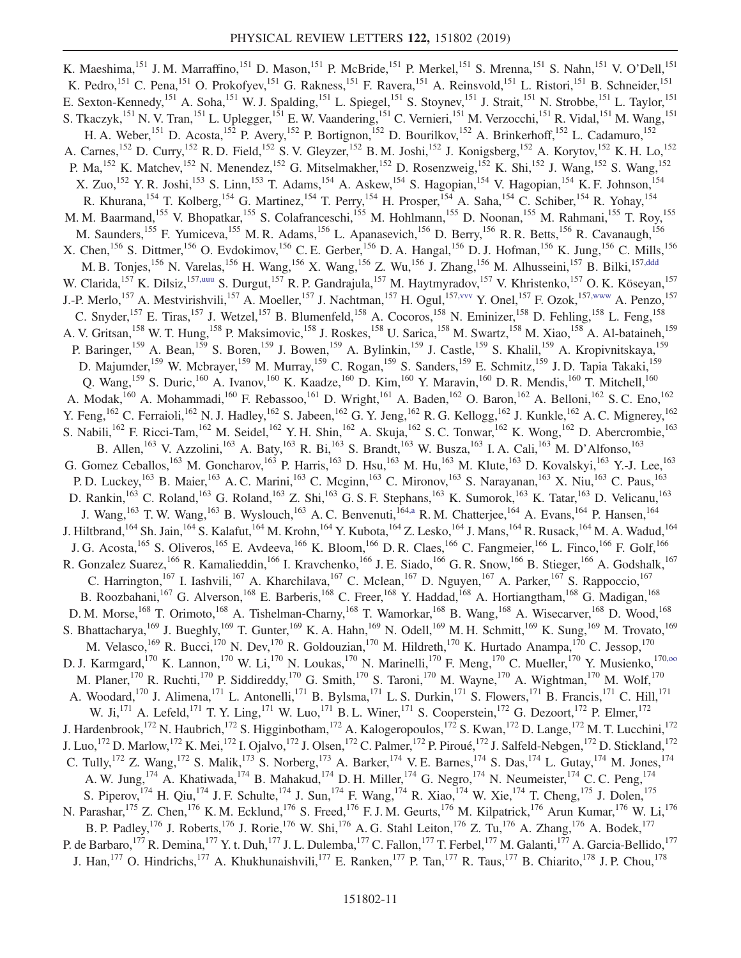<span id="page-10-1"></span><span id="page-10-0"></span>K. Maeshima, <sup>151</sup> J. M. Marraffino, <sup>151</sup> D. Mason, <sup>151</sup> P. McBride, <sup>151</sup> P. Merkel, <sup>151</sup> S. Mrenna, <sup>151</sup> S. Nahn, <sup>151</sup> V. O'Dell, <sup>151</sup> K. Pedro,<sup>151</sup> C. Pena,<sup>151</sup> O. Prokofyev,<sup>151</sup> G. Rakness,<sup>151</sup> F. Ravera,<sup>151</sup> A. Reinsvold,<sup>151</sup> L. Ristori,<sup>151</sup> B. Schneider,<sup>151</sup> E. Sexton-Kennedy,<sup>151</sup> A. Soha,<sup>151</sup> W. J. Spalding,<sup>151</sup> L. Spiegel,<sup>151</sup> S. Stoynev,<sup>151</sup> J. Strait,<sup>151</sup> N. Strobbe,<sup>151</sup> L. Taylor,<sup>151</sup> S. Tkaczyk,<sup>151</sup> N. V. Tran,<sup>151</sup> L. Uplegger,<sup>151</sup> E. W. Vaandering,<sup>151</sup> C. Vernieri,<sup>151</sup> M. Verzocchi,<sup>151</sup> R. Vidal,<sup>151</sup> M. Wang,<sup>151</sup> H. A. Weber,<sup>151</sup> D. Acosta,<sup>152</sup> P. Avery,<sup>152</sup> P. Bortignon,<sup>152</sup> D. Bourilkov,<sup>152</sup> A. Brinkerhoff,<sup>152</sup> L. Cadamuro,<sup>152</sup> A. Carnes,<sup>152</sup> D. Curry,<sup>152</sup> R. D. Field,<sup>152</sup> S. V. Gleyzer,<sup>152</sup> B. M. Joshi,<sup>152</sup> J. Konigsberg,<sup>152</sup> A. Korytov,<sup>152</sup> K. H. Lo,<sup>152</sup> P. Ma, <sup>152</sup> K. Matchev, <sup>152</sup> N. Menendez, <sup>152</sup> G. Mitselmakher, <sup>152</sup> D. Rosenzweig, <sup>152</sup> K. Shi, <sup>152</sup> J. Wang, <sup>152</sup> S. Wang, <sup>152</sup> X. Zuo,<sup>152</sup> Y. R. Joshi,<sup>153</sup> S. Linn,<sup>153</sup> T. Adams,<sup>154</sup> A. Askew,<sup>154</sup> S. Hagopian,<sup>154</sup> V. Hagopian,<sup>154</sup> K. F. Johnson,<sup>154</sup> R. Khurana, <sup>154</sup> T. Kolberg, <sup>154</sup> G. Martinez, <sup>154</sup> T. Perry, <sup>154</sup> H. Prosper, <sup>154</sup> A. Saha, <sup>154</sup> C. Schiber, <sup>154</sup> R. Yohay, <sup>154</sup> M. M. Baarmand,<sup>155</sup> V. Bhopatkar,<sup>155</sup> S. Colafranceschi,<sup>155</sup> M. Hohlmann,<sup>155</sup> D. Noonan,<sup>155</sup> M. Rahmani,<sup>155</sup> T. Roy,<sup>155</sup> M. Saunders,<sup>155</sup> F. Yumiceva,<sup>155</sup> M. R. Adams,<sup>156</sup> L. Apanasevich,<sup>156</sup> D. Berry,<sup>156</sup> R. R. Betts,<sup>156</sup> R. Cavanaugh,<sup>156</sup> X. Chen,<sup>156</sup> S. Dittmer,<sup>156</sup> O. Evdokimov,<sup>156</sup> C. E. Gerber,<sup>156</sup> D. A. Hangal,<sup>156</sup> D. J. Hofman,<sup>156</sup> K. Jung,<sup>156</sup> C. Mills,<sup>156</sup> M. B. Tonjes,<sup>156</sup> N. Varelas,<sup>156</sup> H. Wang,<sup>156</sup> X. Wang,<sup>156</sup> Z. Wu,<sup>156</sup> J. Zhang,<sup>156</sup> M. Alhusseini,<sup>157</sup> B. Bilki,<sup>15[7,ddd](#page-15-42)</sup> W. Clarida, <sup>157</sup> K. Dilsiz, <sup>157[,uuu](#page-16-1)</sup> S. Durgut, <sup>157</sup> R. P. Gandrajula, <sup>157</sup> M. Haytmyradov, <sup>157</sup> V. Khristenko, <sup>157</sup> O. K. Köseyan, <sup>157</sup> J.-P. Merlo,<sup>157</sup> A. Mestvirishvili,<sup>157</sup> A. Moeller,<sup>157</sup> J. Nachtman,<sup>157</sup> H. Ogul,<sup>15[7,vvv](#page-16-2)</sup> Y. Onel,<sup>157</sup> F. Ozok,<sup>15[7,www](#page-16-3)</sup> A. Penzo,<sup>157</sup> C. Snyder,<sup>157</sup> E. Tiras,<sup>157</sup> J. Wetzel,<sup>157</sup> B. Blumenfeld,<sup>158</sup> A. Cocoros,<sup>158</sup> N. Eminizer,<sup>158</sup> D. Fehling,<sup>158</sup> L. Feng,<sup>158</sup> A. V. Gritsan, <sup>158</sup> W. T. Hung, <sup>158</sup> P. Maksimovic, <sup>158</sup> J. Roskes, <sup>158</sup> U. Sarica, <sup>158</sup> M. Swartz, <sup>158</sup> M. Xiao, <sup>158</sup> A. Al-bataineh, <sup>159</sup> P. Baringer,<sup>159</sup> A. Bean,<sup>159</sup> S. Boren,<sup>159</sup> J. Bowen,<sup>159</sup> A. Bylinkin,<sup>159</sup> J. Castle,<sup>159</sup> S. Khalil,<sup>159</sup> A. Kropivnitskaya,<sup>159</sup> D. Majumder, 159 W. Mcbrayer, 159 M. Murray, 159 C. Rogan, 159 S. Sanders, <sup>159</sup> E. Schmitz, <sup>159</sup> J. D. Tapia Takaki, <sup>159</sup> Q. Wang,  $^{159}$  S. Duric,  $^{160}$  A. Ivanov,  $^{160}$  K. Kaadze,  $^{160}$  D. Kim,  $^{160}$  Y. Maravin,  $^{160}$  D. R. Mendis,  $^{160}$  T. Mitchell,  $^{160}$ A. Modak,<sup>160</sup> A. Mohammadi,<sup>160</sup> F. Rebassoo,<sup>161</sup> D. Wright,<sup>161</sup> A. Baden,<sup>162</sup> O. Baron,<sup>162</sup> A. Belloni,<sup>162</sup> S. C. Eno,<sup>162</sup> Y. Feng,<sup>162</sup> C. Ferraioli,<sup>162</sup> N. J. Hadley,<sup>162</sup> S. Jabeen,<sup>162</sup> G. Y. Jeng,<sup>162</sup> R. G. Kellogg,<sup>162</sup> J. Kunkle,<sup>162</sup> A. C. Mignerey,<sup>162</sup> S. Nabili,<sup>162</sup> F. Ricci-Tam,<sup>162</sup> M. Seidel,<sup>162</sup> Y. H. Shin,<sup>162</sup> A. Skuja,<sup>162</sup> S. C. Tonwar,<sup>162</sup> K. Wong,<sup>162</sup> D. Abercrombie,<sup>163</sup> B. Allen,<sup>163</sup> V. Azzolini,<sup>163</sup> A. Baty,<sup>163</sup> R. Bi,<sup>163</sup> S. Brandt,<sup>163</sup> W. Busza,<sup>163</sup> I. A. Cali,<sup>163</sup> M. D'Alfonso,<sup>163</sup> G. Gomez Ceballos,<sup>163</sup> M. Goncharov,<sup>163</sup> P. Harris,<sup>163</sup> D. Hsu,<sup>163</sup> M. Hu,<sup>163</sup> M. Klute,<sup>163</sup> D. Kovalskyi,<sup>163</sup> Y.-J. Lee,<sup>163</sup> P. D. Luckey,<sup>163</sup> B. Maier,<sup>163</sup> A. C. Marini,<sup>163</sup> C. Mcginn,<sup>163</sup> C. Mironov,<sup>163</sup> S. Narayanan,<sup>163</sup> X. Niu,<sup>163</sup> C. Paus,<sup>163</sup> D. Rankin,<sup>163</sup> C. Roland,<sup>163</sup> G. Roland,<sup>163</sup> Z. Shi,<sup>163</sup> G. S. F. Stephans,<sup>163</sup> K. Sumorok,<sup>163</sup> K. Tatar,<sup>163</sup> D. Velicanu,<sup>163</sup> J. Wang,<sup>163</sup> T. W. Wang,<sup>163</sup> B. Wyslouch,<sup>163</sup> A. C. Benvenuti,<sup>16[4,a](#page-14-10)</sup> R. M. Chatterjee,<sup>164</sup> A. Evans,<sup>164</sup> P. Hansen,<sup>164</sup> J. Hiltbrand,<sup>164</sup> Sh. Jain,<sup>164</sup> S. Kalafut,<sup>164</sup> M. Krohn,<sup>164</sup> Y. Kubota,<sup>164</sup> Z. Lesko,<sup>164</sup> J. Mans,<sup>164</sup> R. Rusack,<sup>164</sup> M. A. Wadud,<sup>164</sup> J. G. Acosta,<sup>165</sup> S. Oliveros,<sup>165</sup> E. Avdeeva,<sup>166</sup> K. Bloom,<sup>166</sup> D. R. Claes,<sup>166</sup> C. Fangmeier,<sup>166</sup> L. Finco,<sup>166</sup> F. Golf,<sup>166</sup> R. Gonzalez Suarez,<sup>166</sup> R. Kamalieddin,<sup>166</sup> I. Kravchenko,<sup>166</sup> J. E. Siado,<sup>166</sup> G. R. Snow,<sup>166</sup> B. Stieger,<sup>166</sup> A. Godshalk,<sup>167</sup> C. Harrington,<sup>167</sup> I. Iashvili,<sup>167</sup> A. Kharchilava,<sup>167</sup> C. Mclean,<sup>167</sup> D. Nguyen,<sup>167</sup> A. Parker,<sup>167</sup> S. Rappoccio,<sup>167</sup> B. Roozbahani,<sup>167</sup> G. Alverson,<sup>168</sup> E. Barberis,<sup>168</sup> C. Freer,<sup>168</sup> Y. Haddad,<sup>168</sup> A. Hortiangtham,<sup>168</sup> G. Madigan,<sup>168</sup> D. M. Morse,<sup>168</sup> T. Orimoto,<sup>168</sup> A. Tishelman-Charny,<sup>168</sup> T. Wamorkar,<sup>168</sup> B. Wang,<sup>168</sup> A. Wisecarver,<sup>168</sup> D. Wood,<sup>168</sup> S. Bhattacharya, <sup>169</sup> J. Bueghly, <sup>169</sup> T. Gunter, <sup>169</sup> K. A. Hahn, <sup>169</sup> N. Odell, <sup>169</sup> M. H. Schmitt, <sup>169</sup> K. Sung, <sup>169</sup> M. Trovato, <sup>169</sup> M. Velasco, <sup>169</sup> R. Bucci, <sup>170</sup> N. Dev, <sup>170</sup> R. Goldouzian, <sup>170</sup> M. Hildreth, <sup>170</sup> K. Hurtado Anampa, <sup>170</sup> C. Jessop, <sup>170</sup> D. J. Karmgard,<sup>170</sup> K. Lannon,<sup>170</sup> W. Li,<sup>170</sup> N. Loukas,<sup>170</sup> N. Marinelli,<sup>170</sup> F. Meng,<sup>170</sup> C. Mueller,<sup>170</sup> Y. Musienko,<sup>170,00</sup> M. Planer,<sup>170</sup> R. Ruchti,<sup>170</sup> P. Siddireddy,<sup>170</sup> G. Smith,<sup>170</sup> S. Taroni,<sup>170</sup> M. Wayne,<sup>170</sup> A. Wightman,<sup>170</sup> M. Wolf,<sup>170</sup> A. Woodard,<sup>170</sup> J. Alimena,<sup>171</sup> L. Antonelli,<sup>171</sup> B. Bylsma,<sup>171</sup> L. S. Durkin,<sup>171</sup> S. Flowers,<sup>171</sup> B. Francis,<sup>171</sup> C. Hill,<sup>171</sup> W. Ji,<sup>171</sup> A. Lefeld,<sup>171</sup> T. Y. Ling,<sup>171</sup> W. Luo,<sup>171</sup> B. L. Winer,<sup>171</sup> S. Cooperstein,<sup>172</sup> G. Dezoort,<sup>172</sup> P. Elmer,<sup>172</sup> J. Hardenbrook,<sup>172</sup> N. Haubrich,<sup>172</sup> S. Higginbotham,<sup>172</sup> A. Kalogeropoulos,<sup>172</sup> S. Kwan,<sup>172</sup> D. Lange,<sup>172</sup> M. T. Lucchini,<sup>172</sup> J. Luo,<sup>172</sup> D. Marlow,<sup>172</sup> K. Mei,<sup>172</sup> I. Ojalvo,<sup>172</sup> J. Olsen,<sup>172</sup> C. Palmer,<sup>172</sup> P. Piroué,<sup>172</sup> J. Salfeld-Nebgen,<sup>172</sup> D. Stickland,<sup>172</sup> C. Tully,<sup>172</sup> Z. Wang,<sup>172</sup> S. Malik,<sup>173</sup> S. Norberg,<sup>173</sup> A. Barker,<sup>174</sup> V. E. Barnes,<sup>174</sup> S. Das,<sup>174</sup> L. Gutay,<sup>174</sup> M. Jones,<sup>174</sup> A. W. Jung,  $^{174}$  A. Khatiwada,  $^{174}$  B. Mahakud,  $^{174}$  D. H. Miller,  $^{174}$  G. Negro,  $^{174}$  N. Neumeister,  $^{174}$  C. C. Peng,  $^{174}$ S. Piperov,<sup>174</sup> H. Qiu,<sup>174</sup> J. F. Schulte,<sup>174</sup> J. Sun,<sup>174</sup> F. Wang,<sup>174</sup> R. Xiao,<sup>174</sup> W. Xie,<sup>174</sup> T. Cheng,<sup>175</sup> J. Dolen,<sup>175</sup> N. Parashar,<sup>175</sup> Z. Chen,<sup>176</sup> K. M. Ecklund,<sup>176</sup> S. Freed,<sup>176</sup> F. J. M. Geurts,<sup>176</sup> M. Kilpatrick,<sup>176</sup> Arun Kumar,<sup>176</sup> W. Li,<sup>176</sup> B. P. Padley, <sup>176</sup> J. Roberts, <sup>176</sup> J. Rorie, <sup>176</sup> W. Shi, <sup>176</sup> A. G. Stahl Leiton, <sup>176</sup> Z. Tu, <sup>176</sup> A. Zhang, <sup>176</sup> A. Bodek, <sup>177</sup> P. de Barbaro,<sup>177</sup> R. Demina,<sup>177</sup> Y. t. Duh,<sup>177</sup> J. L. Dulemba,<sup>177</sup> C. Fallon,<sup>177</sup> T. Ferbel,<sup>177</sup> M. Galanti,<sup>177</sup> A. Garcia-Bellido,<sup>177</sup> J. Han,<sup>177</sup> O. Hindrichs,<sup>177</sup> A. Khukhunaishvili,<sup>177</sup> E. Ranken,<sup>177</sup> P. Tan,<sup>177</sup> R. Taus,<sup>177</sup> B. Chiarito,<sup>178</sup> J. P. Chou,<sup>178</sup>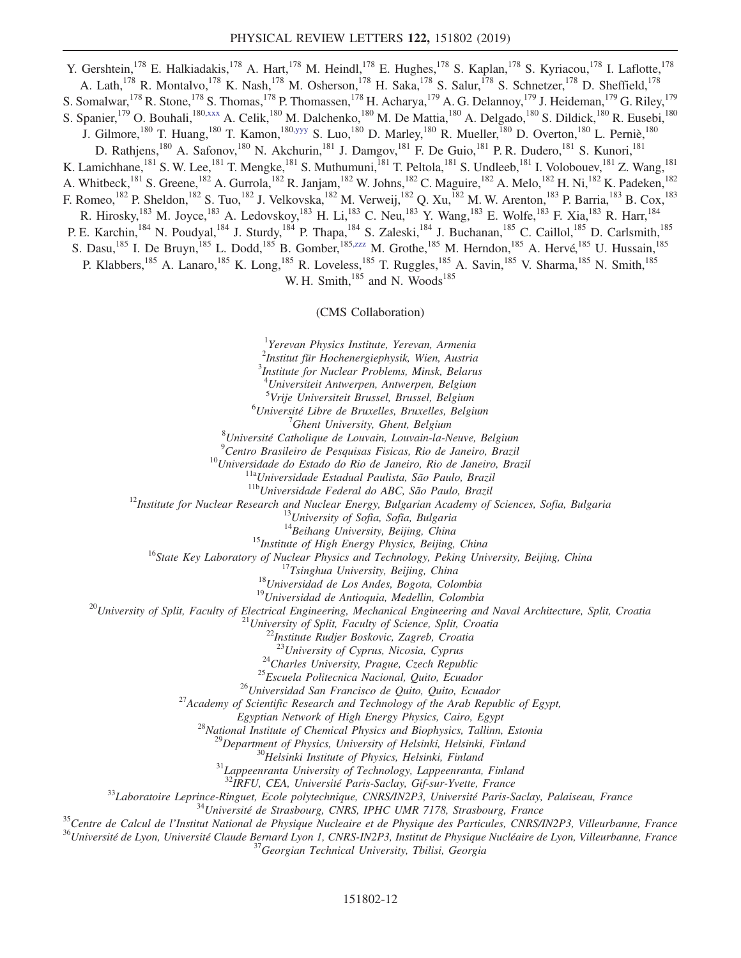<span id="page-11-2"></span><span id="page-11-1"></span><span id="page-11-0"></span>Y. Gershtein,<sup>178</sup> E. Halkiadakis,<sup>178</sup> A. Hart,<sup>178</sup> M. Heindl,<sup>178</sup> E. Hughes,<sup>178</sup> S. Kaplan,<sup>178</sup> S. Kyriacou,<sup>178</sup> I. Laflotte,<sup>178</sup> A. Lath,<sup>178</sup> R. Montalvo,<sup>178</sup> K. Nash,<sup>178</sup> M. Osherson,<sup>178</sup> H. Saka,<sup>178</sup> S. Salur,<sup>178</sup> S. Schnetzer,<sup>178</sup> D. Sheffield,<sup>178</sup> S. Somalwar, <sup>178</sup> R. Stone, <sup>178</sup> S. Thomas, <sup>178</sup> P. Thomassen, <sup>178</sup> H. Acharya, <sup>179</sup> A. G. Delannoy, <sup>179</sup> J. Heideman, <sup>179</sup> G. Riley, <sup>179</sup> S. Spanier,<sup>179</sup> O. Bouhali,<sup>180[,xxx](#page-16-4)</sup> A. Celik,<sup>180</sup> M. Dalchenko,<sup>180</sup> M. De Mattia,<sup>180</sup> A. Delgado,<sup>180</sup> S. Dildick,<sup>180</sup> R. Eusebi,<sup>180</sup> J. Gilmore,<sup>180</sup> T. Huang,<sup>180</sup> T. Kamon,<sup>18[0,yyy](#page-16-5)</sup> S. Luo,<sup>180</sup> D. Marley,<sup>180</sup> R. Mueller,<sup>180</sup> D. Overton,<sup>180</sup> L. Perniè,<sup>180</sup> D. Rathjens,<sup>180</sup> A. Safonov,<sup>180</sup> N. Akchurin,<sup>181</sup> J. Damgov,<sup>181</sup> F. De Guio,<sup>181</sup> P. R. Dudero,<sup>181</sup> S. Kunori,<sup>181</sup> K. Lamichhane,<sup>181</sup> S. W. Lee,<sup>181</sup> T. Mengke,<sup>181</sup> S. Muthumuni,<sup>181</sup> T. Peltola,<sup>181</sup> S. Undleeb,<sup>181</sup> I. Volobouev,<sup>181</sup> Z. Wang,<sup>181</sup> A. Whitbeck,<sup>181</sup> S. Greene,<sup>182</sup> A. Gurrola,<sup>182</sup> R. Janjam,<sup>182</sup> W. Johns,<sup>182</sup> C. Maguire,<sup>182</sup> A. Melo,<sup>182</sup> H. Ni,<sup>182</sup> K. Padeken,<sup>182</sup> F. Romeo,<sup>182</sup> P. Sheldon,<sup>182</sup> S. Tuo,<sup>182</sup> J. Velkovska,<sup>182</sup> M. Verweij,<sup>182</sup> Q. Xu,<sup>182</sup> M. W. Arenton,<sup>183</sup> P. Barria,<sup>183</sup> B. Cox,<sup>183</sup> R. Hirosky,<sup>183</sup> M. Joyce,<sup>183</sup> A. Ledovskoy,<sup>183</sup> H. Li,<sup>183</sup> C. Neu,<sup>183</sup> Y. Wang,<sup>183</sup> E. Wolfe,<sup>183</sup> F. Xia,<sup>183</sup> R. Harr,<sup>184</sup> P. E. Karchin,<sup>184</sup> N. Poudyal,<sup>184</sup> J. Sturdy,<sup>184</sup> P. Thapa,<sup>184</sup> S. Zaleski,<sup>184</sup> J. Buchanan,<sup>185</sup> C. Caillol,<sup>185</sup> D. Carlsmith,<sup>185</sup> S. Dasu,<sup>185</sup> I. De Bruyn,<sup>185</sup> L. Dodd,<sup>185</sup> B. Gomber,<sup>18[5,zzz](#page-16-6)</sup> M. Grothe,<sup>185</sup> M. Herndon,<sup>185</sup> A. Hervé,<sup>185</sup> U. Hussain,<sup>185</sup> P. Klabbers,<sup>185</sup> A. Lanaro,<sup>185</sup> K. Long,<sup>185</sup> R. Loveless,<sup>185</sup> T. Ruggles,<sup>185</sup> A. Savin,<sup>185</sup> V. Sharma,<sup>185</sup> N. Smith,<sup>185</sup> W. H. Smith, $^{185}$  and N. Woods $^{185}$ 

## (CMS Collaboration)

<sup>1</sup>Yerevan Physics Institute, Yerevan, Armenia

2 Institut für Hochenergiephysik, Wien, Austria

3 Institute for Nuclear Problems, Minsk, Belarus <sup>4</sup>Universiteit Antwerpen, Antwerpen, Belgium

<sup>5</sup>Vrije Universiteit Brussel, Brussel, Belgium<br><sup>6</sup>Université Libre de Bruxelles, Bruxelles, Belgium <sup>6</sup>Université Libre de Bruxelles, Bruxelles, Belgium  $\frac{7}{7}$ Ghent University, Ghent, Belgium

 $'$ Ghent University, Ghent, Belgium<br><sup>8</sup>Université Catholique de Louvain, Louvain la N  $^8$ Université Catholique de Louvain, Louvain-la-Neuve, Belgium<br> $^9$ Cartre Presileire de Pesquisse Fisiese, Pie de Laneire, Presil

<sup>9</sup>Centro Brasileiro de Pesquisas Fisicas, Rio de Janeiro, Brazil<br><sup>10</sup>Universidade do Estado do Rio de Janeiro, Rio de Janeiro, Brazil<br><sup>11a</sup>Universidade Estadual Paulista, São Paulo, Brazil<br><sup>11b</sup>Universidade Federal do AB

<sup>15</sup>Institute of High Energy Physics, Beijing, China<br><sup>16</sup>State Key Laboratory of Nuclear Physics and Technology, Peking University, Beijing, China<br><sup>17</sup>Tsinghua University, Beijing, China<br><sup>18</sup>Universidad de Los Andes, Bogo

<sup>24</sup>Charles University, Prague, Czech Republic<br><sup>25</sup>Escuela Politecnica Nacional, Quito, Ecuador<br><sup>26</sup>Universidad San Francisco de Quito, Quito, Ecuador<br><sup>27</sup>Academy of Scientific Research and Technology of the Arab Republic

Egyptian Network of High Energy Physics, Cairo, Egypt<br><sup>28</sup>National Institute of Chemical Physics and Biophysics, Tallinn, Estonia<br><sup>29</sup>Department of Physics, University of Helsinki, Helsinki, Finland<br><sup>30</sup>Helsinki Institute

<sup>33</sup>Laboratoire Leprince-Ringuet, Ecole polytechnique, CNRS/IN2P3, Université Paris-Saclay, Palaiseau, France<br><sup>34</sup>Université de Strasbourg, CNRS, IPHC UMR 7178, Strasbourg, France<br><sup>35</sup>Centre de Calcul de l'Institut Nation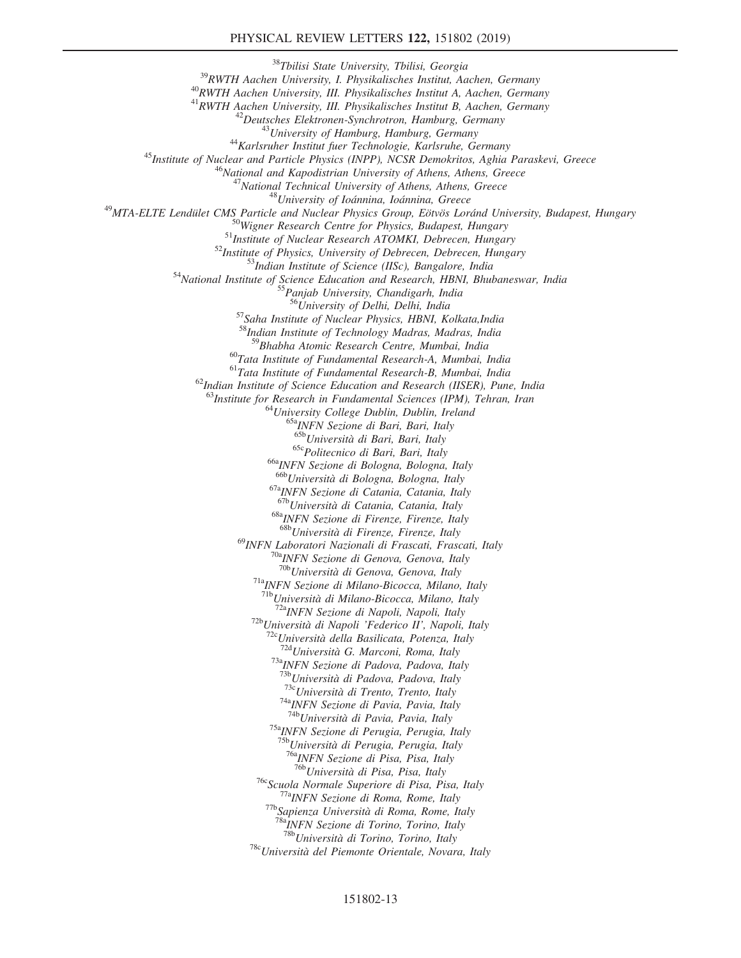<sup>38</sup>Tbilisi State University, Tbilisi, Georgia<br><sup>39</sup>RWTH Aachen University, I. Physikalisches Institut, Aachen, Germany<br><sup>40</sup>RWTH Aachen University, III. Physikalisches Institut A, Aachen, Germany<br><sup>41</sup>RWTH Aachen University  $\begin{array}{c} \begin{array}{c} \begin{array}{c} \begin{array}{c} \begin{array}{c} \begin{array}{c} \begin{array}{c} \begin{array}{c} \begin{array}{c} \begin{array}{c} \begin{array}{c} \end{array}} \end{array} & \begin{array}{c} \begin{array}{c} \begin{array}{c} \end{array} \end{array} & \begin{array}{c} \end{array} \end{array} & \begin{array}{c} \end{array} \end{array} & \begin{array}{c} \begin{array}{c} \begin{array}{c} \end{array} & \end{array} & \begin{array}{c} \end{array} & \begin{array}{c} \end{array} & \end{array}$ <sup>555</sup>Panjab University, Chandigarh, India<br><sup>56</sup>University of Delhi, Delhi, India<br><sup>57</sup>Saha Institute of Nuclear Physics, HBNI, Kolkata,India <sup>58</sup>Indian Institute of Technology Madras, Madras, India<br><sup>59</sup>Bhabha Atomic Research Centre, Mumbai, India <sup>60</sup>Tata Institute of Fundamental Research-A, Mumbai, India  $6^{1}$ Tata Institute of Fundamental Research-B, Mumbai, India  $62$ Indian Institute of Science Education and Research (IISER), Pune, India <sup>63</sup>Institute for Research in Fundamental Sciences (IPM), Tehran, Iran <sup>64</sup>University College Dublin, Dublin, Ireland <sup>65a</sup>INFN Sezione di Bari, Bari, Italy <sup>65b</sup>Università di Bari, Bari, Italy  $^{65c}$ Politecnico di Bari, Bari, Italy  $^{66a}$ INFN Sezione di Bologna, Bologna, Italy  $^{66b}$ Università di Bologna, Bologna, Italy  $^{67a}$ INFN Sezione di Catania, Catania, Italy  $^{67b}$ Università di Catania, Catania, Italy <sup>68a</sup>INFN Sezione di Firenze, Firenze, Italy  $68b$ Università di Firenze, Firenze, Italy <sup>69</sup>INFN Laboratori Nazionali di Frascati, Frascati, Italy<br><sup>70a</sup>INFN Sezione di Genova, Genova, Italy<br><sup>70b</sup>Università di Genova, Genova, Italy <sup>71a</sup>INFN Sezione di Milano-Bicocca, Milano, Italy  $^{71b}$ Università di Milano-Bicocca, Milano, Italy <sup>72a</sup>INFN Sezione di Napoli, Napoli, Italy<br><sup>72b</sup>Università di Napoli 'Federico II', Napoli, Italy<br><sup>72c</sup>Università della Basilicata, Potenza, Italy<br><sup>72d</sup>Università G. Marconi, Roma, Italy<br><sup>73</sup>aINFN Sezione di Padova, Padov <sup>73c</sup>Università di Trento, Trento, Italy <sup>74a</sup>INFN Sezione di Pavia, Pavia, Italy <sup>74b</sup>Università di Pavia, Pavia, Italy <sup>75a</sup>INFN Sezione di Perugia, Perugia, Italy <sup>75b</sup>Università di Perugia, Perugia, Italy<br><sup>76a</sup>INFN Sezione di Pisa, Pisa, Italy<br><sup>76b</sup>Università di Pisa, Pisa, Italy <sup>76c</sup>Scuola Normale Superiore di Pisa, Pisa, Italy<br><sup>77a</sup>INFN Sezione di Roma, Rome, Italy<br><sup>77b</sup>Sapienza Università di Roma, Rome, Italy<br><sup>78a</sup>INFN Sezione di Torino, Torino, Italy<br><sup>78b</sup>Università di Torino, Torino, Italy  $78c$ Università del Piemonte Orientale, Novara, Italy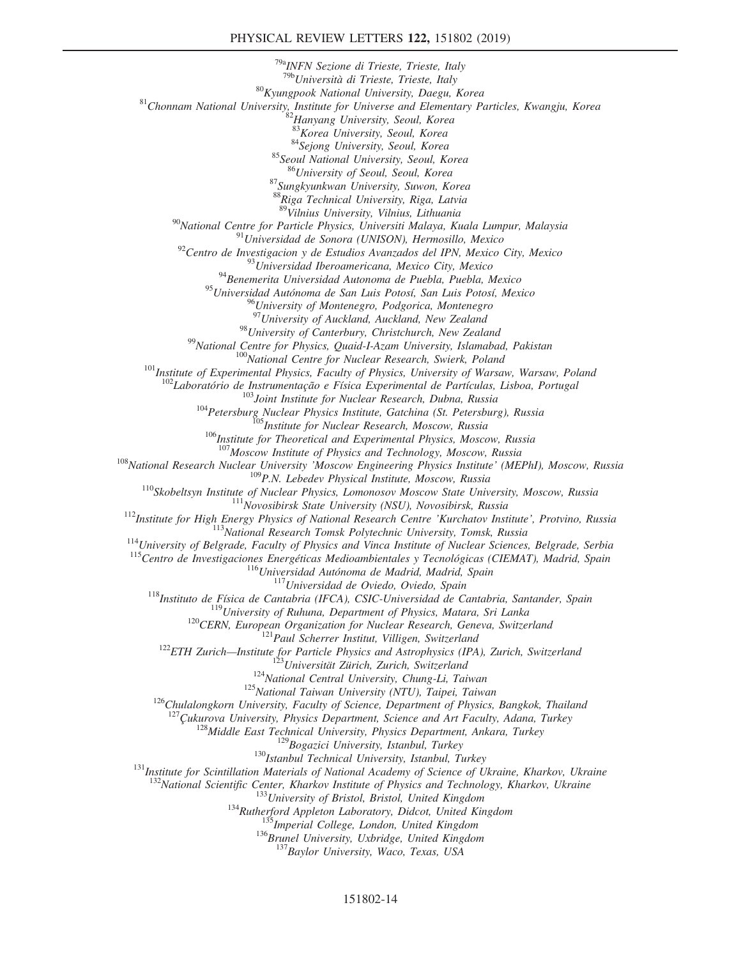<sup>79a</sup>INFN Sezione di Trieste, Trieste, Italy<br><sup>79b</sup>Università di Trieste, Trieste, Italy <sup>80</sup>Kyungpook National University, Daegu, Korea <sup>81</sup>Chonnam National University, Institute for Universe and Elementary Particles, Kwangju, Korea  $\frac{82}{100}$  Korea University, Seoul, Korea 8<sup>33</sup>Korea University, Seoul, Ko <sup>84</sup>Sejong University, Seoul, Korea<br><sup>85</sup>Seoul National University, Seoul, Korea<br><sup>86</sup>University of Seoul, Seoul, Korea 87 Sungkyunkwan University, Suwon, Korea <sup>88</sup>Riga Technical University, Riga, Latvia<br><sup>89</sup>Vilnius University, Vilnius, Lithuania <sup>90</sup>National Centre for Particle Physics, Universiti Malaya, Kuala Lumpur, Malaysia<br><sup>91</sup>Universidad de Sonora (UNISON), Hermosillo, Mexico<br><sup>92</sup>Centro de Investigacion y de Estudios Avanzados del IPN, Mexico City, Mexico<br><sup></sup> <sup>95</sup>Universidad Autónoma de San Luis Potosí, San Luis Potosí, Mexico <sup>96</sup>University of Montenegro, Podgorica, Montenegro<br><sup>97</sup>University of Auckland, Auckland, New Zealand <sup>98</sup>University of Canterbury, Christchurch, New Zealand<br><sup>99</sup>National Centre for Physics, Quaid-I-Azam University, Islamabad, Pakistan<br><sup>100</sup>National Centre for Nuclear Research, Swierk, Poland<br><sup>101</sup>Institute of Experimenta <sup>103</sup>Joint Institute for Nuclear Research, Dubna, Russia<br><sup>104</sup>Petersburg Nuclear Physics Institute, Gatchina (St. Petersburg), Russia<br><sup>105</sup>Institute for Nuclear Research, Moscow, Russia<br><sup>106</sup>Institute for Theoretical and <sup>107</sup> Moscow Institute of Physics and Technology, Moscow, Russia<br><sup>107</sup> Moscow Engineering Physics Institute (MEPhI), Moscow, Russia<br><sup>110</sup> Skobeltsyn Institute of Nuclear Physics, Lomonosov Moscow, Russia<br><sup>110</sup> Skobeltsyn I <sup>127</sup>Çukurova University, Physics Department, Science and Art Faculty, Adana, Turkey<br><sup>128</sup>Middle East Technical University, Physics Department, Ankara, Turkey<br><sup>129</sup>Bogazici University, Istanbul, Turkey<br><sup>131</sup>Institute for <sup>133</sup>University of Bristol, Bristol, United Kingdom<br><sup>134</sup>Rutherford Appleton Laboratory, Didcot, United Kingdom<br><sup>135</sup>Imperial College, London, United Kingdom<br><sup>136</sup>Brunel University, Uxbridge, United Kingdom<br><sup>137</sup>Baylor Un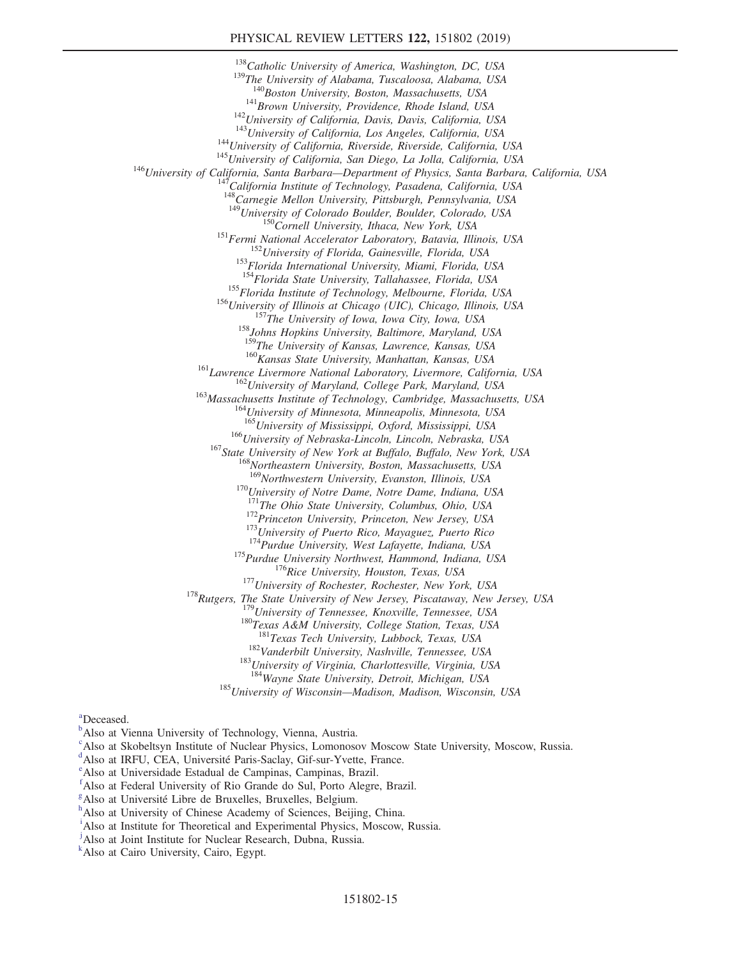## PHYSICAL REVIEW LETTERS 122, 151802 (2019)

<sup>138</sup>Catholic University of America, Washington, DC, USA<br><sup>139</sup>The University of Alabama, Tuscaloosa, Alabama, USA<br><sup>140</sup>Boston University, Boston, Massachusetts, USA <sup>141</sup>Brown University, Providence, Rhode Island, USA<br><sup>142</sup>University of California, Davis, Davis, California, USA<br><sup>143</sup>University of California, Los Angeles, California, USA<br><sup>144</sup>University of California, Riverside, River 148<br>
<sup>148</sup>Carnegie Mellon University, Pittsburgh, Pennsylvania, USA<br>
<sup>149</sup>University of Colorado Boulder, Boulder, Colorado, USA <sup>150</sup>Cornell University, Ithaca, New York, USA<br><sup>151</sup>Fermi National Accelerator Laboratory, Batavia, Illinois, USA<br><sup>152</sup>University of Florida, Gainesville, Florida, USA<br><sup>153</sup>Florida International University, Miami, Florida <sup>155</sup>Florida Institute of Technology, Melbourne, Florida, USA<br><sup>156</sup>University of Illinois at Chicago (UIC), Chicago, Illinois, USA<br><sup>157</sup>The University of Iowa, Iowa City, Iowa, USA<br><sup>158</sup>Johns Hopkins University, Baltimore <sup>160</sup> Kansas State University, Manhattan, Kansas, USA<br><sup>161</sup> Lawrence Livermore National Laboratory, Livermore, California, USA<br><sup>162</sup> University of Maryland, College Park, Maryland, USA<br><sup>163</sup> Massachusetts Institute of Tec  $^{166}$ University of Nebraska-Lincoln, Lincoln, Nebraska, USA<br> $^{167}$ State University of New York at Buffalo, Buffalo, New York, USA<br> $^{168}$ Northeastern University, Boston, Massachusetts, USA<br> $^{168}$ Northwestern Universit <sup>170</sup>University of Notre Dame, Notre Dame, Indiana, USA  $^{171}$ The Ohio State University, Columbus, Ohio, USA <sup>172</sup>Princeton University, Princeton, New Jersey, USA<br><sup>173</sup>University of Puerto Rico, Mayaguez, Puerto Rico<br><sup>174</sup>Purdue University, West Lafayette, Indiana, USA<br><sup>175</sup>Purdue University, West Lafayette, Indiana, USA<br><sup>175</sup>Ri

<sup>182</sup>Vanderbilt University, Nashville, Tennessee, USA <sup>183</sup>University of Virginia, Charlottesville, Virginia, USA <sup>184</sup>Wayne State University, Detroit, Michigan, USA

<sup>185</sup>University of Wisconsin—Madison, Madison, Wisconsin, USA

<span id="page-14-10"></span>[a](#page-6-0) Deceased.

<span id="page-14-0"></span><sup>[b](#page-5-1)</sup>Also at Vienna University of Technology, Vienna, Austria.

<span id="page-14-1"></span>[c](#page-5-2) Also at Skobeltsyn Institute of Nuclear Physics, Lomonosov Moscow State University, Moscow, Russia.

<span id="page-14-2"></span> $\alpha^d$  $\alpha^d$ Also at IRFU, CEA, Univ[e](#page-5-4)rsité Paris-Saclay, Gif-sur-Yvette, France.

<span id="page-14-3"></span>Also at Universidade Estadual de Campinas, Campinas, Brazil.

<span id="page-14-4"></span>[f](#page-5-5) Also at Federal University of Rio Grande do Sul, Porto Alegre, Brazil.

<span id="page-14-5"></span> $\frac{g}{h}$  $\frac{g}{h}$  $\frac{g}{h}$  $\frac{g}{h}$  $\frac{g}{h}$ Also at Université Libre de Bruxelles, Bruxelles, Belgium.

<span id="page-14-6"></span>h Also at University of Chinese Academy of Sciences, Beijing, China.

<span id="page-14-7"></span><sup>[i](#page-5-8)</sup>Also at Institute for Theoretical and Experimental Physics, Moscow, Russia.

<span id="page-14-8"></span><sup>[j](#page-5-9)</sup>Also at Joint Institute for Nuclear Research, Dubna, Russia.

<span id="page-14-9"></span>[k](#page-5-10) Also at Cairo University, Cairo, Egypt.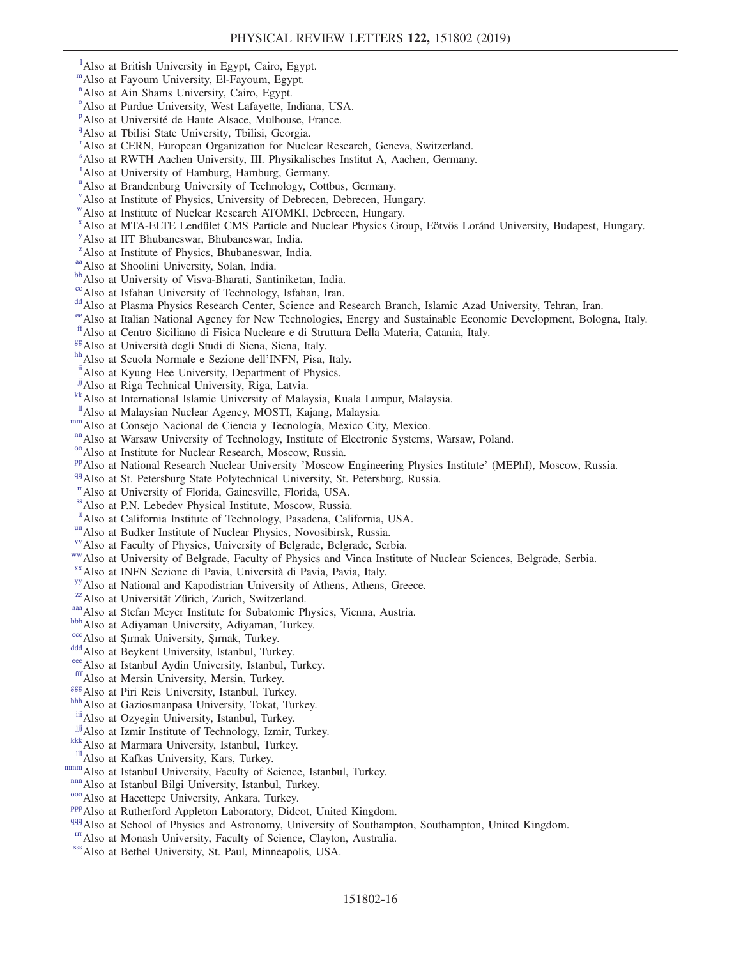- <span id="page-15-0"></span><sup>1</sup>A[l](#page-5-10)so at British University in Egypt, Cairo, Egypt.
- <span id="page-15-1"></span>mAlso at Fayoum University, El-Fayoum, Egypt.
- [n](#page-5-10) Also at Ain Shams University, Cairo, Egypt.
- <span id="page-15-2"></span><sup>[o](#page-5-11)</sup>Also at Purdue University, West Lafayette, Indiana, USA.
- <span id="page-15-3"></span><su[p](#page-5-12)>p</sup>Also at Université de Haute Alsace, Mulhouse, France.
- <span id="page-15-4"></span><sup>q</sup>Also at Tbilisi State University, Tbilisi, Georgia.
- <span id="page-15-5"></span><sup>[r](#page-6-2)</sup> Also at CERN, European Organization for Nuclear Research, Geneva, Switzerland.
- <span id="page-15-6"></span>[s](#page-6-3) Also at RWTH Aachen University, III. Physikalisches Institut A, Aachen, Germany.
- <span id="page-15-7"></span>[t](#page-6-4) Also at University of Hamburg, Hamburg, Germany.
- <span id="page-15-8"></span><s[u](#page-6-5)p>u</sup>Also at Brandenburg University of Technology, Cottbus, Germany.
- <span id="page-15-9"></span>[v](#page-6-0) Also at Institute of Physics, University of Debrecen, Debrecen, Hungary.
- <span id="page-15-10"></span>[w](#page-6-6)Also at Institute of Nuclear Research ATOMKI, Debrecen, Hungary.
- x Also at MTA-ELTE Lendület CMS Particle and Nuclear Physics Group, Eötvös Loránd University, Budapest, Hungary.
- <span id="page-15-11"></span>[y](#page-6-7) Also at IIT Bhubaneswar, Bhubaneswar, India.
- <span id="page-15-12"></span><sup>[z](#page-6-7)</sup>Also at Institute of Physics, Bhubaneswar, India.
- 
- <span id="page-15-14"></span><span id="page-15-13"></span><sup>[aa](#page-6-8)</sup>Also at Shoolini University, Solan, India.<br><sup>[bb](#page-6-8)</sup>Also at University of Visva-Bharati, Santiniketan, India.<br><sup>cc</sup>Also at Isfahan University of Technology, Isfahan, Iran.
- <span id="page-15-15"></span>
- <span id="page-15-16"></span><sup>[dd](#page-6-9)</sup> Also at Plasma Physics Research Center, Science and Research Branch, Islamic Azad University, Tehran, Iran.
- <span id="page-15-17"></span>[ee](#page-7-0)Also at Italian National Agency for New Technologies, Energy and Sustainable Economic Development, Bologna, Italy.
- <span id="page-15-18"></span><sup>[ff](#page-7-1)</sup> Also at Centro Siciliano di Fisica Nucleare e di Struttura Della Materia, Catania, Italy.<br><sup>88</sup> Also at Università degli Studi di Siena, Siena, Italy.<br><sup>[hh](#page-7-3)</sup> Also at Scuola Normale e Sezione dell'INFN, Pisa, Italy.<br><sup>[ii](#page-7-4)</sup>
- <span id="page-15-20"></span><span id="page-15-19"></span>
- <span id="page-15-21"></span>
- <span id="page-15-22"></span>
- 
- <span id="page-15-23"></span><sup>[kk](#page-7-6)</sup> Also at International Islamic University of Malaysia, Kuala Lumpur, Malaysia. <sup>11</sup> Also at Malaysian Nuclear Agency, MOSTI, Kajang, Malaysia.
- <span id="page-15-24"></span>
- <span id="page-15-26"></span>
- 
- <span id="page-15-31"></span><span id="page-15-27"></span>
- <span id="page-15-25"></span>[mm](#page-7-7) Also at Consejo Nacional de Ciencia y Tecnología, Mexico City, Mexico.<br>
<sup>[nn](#page-8-0)</sup> Also at Warsaw University of Technology, Institute of Electronic Systems, Warsaw, Poland.<br>
<sup>[oo](#page-8-1)</sup> Also at Institute for Nuclear Research, Moscow
- <span id="page-15-28"></span>
- <span id="page-15-29"></span>[rr](#page-8-3)Also at University of Florida, Gainesville, Florida, USA.
- <span id="page-15-32"></span>
- <span id="page-15-30"></span><sup>[ss](#page-8-2)</sup>Also at P.N. Lebedev Physical Institute, Moscow, Russia.<br><sup>tt</sup>Also at California Institute of Technology, Pasadena, California, USA.
- 
- <span id="page-15-35"></span><span id="page-15-34"></span>
- <span id="page-15-33"></span><sup>[uu](#page-8-5)</sup> Also at Budker Institute of Nuclear Physics, Novosibirsk, Russia.<br><sup>[vv](#page-8-6)</sup> Also at Faculty of Physics, University of Belgrade, Belgrade, Serbia.<br><sup>[ww](#page-8-7)</sup> Also at University of Belgrade, Faculty of Physics and Vinca Institute
- <span id="page-15-36"></span>
- <span id="page-15-37"></span>
- <span id="page-15-38"></span>
- <span id="page-15-39"></span><sup>[aaa](#page-8-11)</sup> Also at Stefan Meyer Institute for Subatomic Physics, Vienna, Austria.<br><sup>[bbb](#page-9-0)</sup> Also at Adiyaman University, Adiyaman, Turkey.<br><sup>[ccc](#page-9-1)</sup> Also at Şırnak University, Şırnak, Turkey.<br><sup>dd</sup> Also at Beykent University, Istanbul,
- <span id="page-15-40"></span>
- <span id="page-15-41"></span>
- <span id="page-15-42"></span>
- <span id="page-15-43"></span>
- <span id="page-15-44"></span>
- <span id="page-15-46"></span>
- <span id="page-15-45"></span><sup>[ggg](#page-9-3)</sup>Also at Piri Reis University, Istanbul, Turkey. [hhh](#page-9-0)<br>hhhAlso at Gaziosmanpasa University, Tokat, Turkey.
- <span id="page-15-47"></span>[iii](#page-9-4) Also at Ozyegin University, Istanbul, Turkey.<br>
<sup>jij</sup> Also at Izmir Institute of Technology, Izmir, Turkey.
- <span id="page-15-48"></span>
- <span id="page-15-49"></span> $\frac{k}{k}$ Also at Marmara University, Istanbul, Turkey.  $\frac{m}{k}$ Also at Kafkas University, Kars, Turkey.
- <span id="page-15-50"></span>
- <span id="page-15-52"></span>
- <span id="page-15-53"></span>
- 
- <span id="page-15-55"></span><span id="page-15-54"></span>
- <span id="page-15-51"></span>[mmm](#page-9-5) Also at Istanbul University, Faculty of Science, Istanbul, Turkey.<br> [nnn](#page-9-5) Also at Istanbul Bilgi University, Istanbul, Turkey.<br>
<sup>[ooo](#page-9-6)</sup> Also at Hacettepe University, Ankara, Turkey.<br>
<sup>[ppp](#page-9-7)</sup> Also at Rutherford Appleton Labor
- <span id="page-15-57"></span><span id="page-15-56"></span>
-